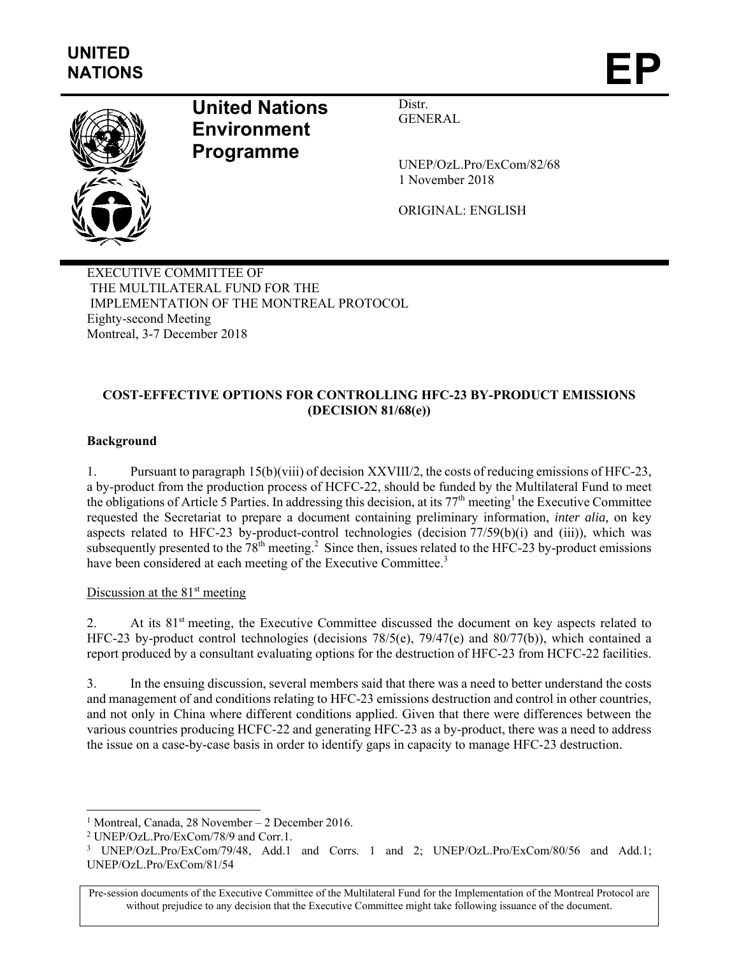

# **United Nations Environment Programme**

Distr. GENERAL

UNEP/OzL.Pro/ExCom/82/68 1 November 2018

ORIGINAL: ENGLISH

EXECUTIVE COMMITTEE OF THE MULTILATERAL FUND FOR THE IMPLEMENTATION OF THE MONTREAL PROTOCOL Eighty-second Meeting Montreal, 3-7 December 2018

## **COST-EFFECTIVE OPTIONS FOR CONTROLLING HFC-23 BY-PRODUCT EMISSIONS (DECISION 81/68(e))**

## **Background**

1. Pursuant to paragraph 15(b)(viii) of decision XXVIII/2, the costs of reducing emissions of HFC-23, a by-product from the production process of HCFC-22, should be funded by the Multilateral Fund to meet the obligations of Article 5 Parties. In addressing this decision, at its  $77<sup>th</sup>$  meeting<sup>1</sup> the Executive Committee requested the Secretariat to prepare a document containing preliminary information, *inter alia,* on key aspects related to HFC-23 by-product-control technologies (decision 77/59(b)(i) and (iii)), which was subsequently presented to the  $78<sup>th</sup>$  meeting.<sup>2</sup> Since then, issues related to the HFC-23 by-product emissions have been considered at each meeting of the Executive Committee.<sup>3</sup>

#### Discussion at the  $81<sup>st</sup>$  meeting

2. At its 81<sup>st</sup> meeting, the Executive Committee discussed the document on key aspects related to HFC-23 by-product control technologies (decisions 78/5(e), 79/47(e) and 80/77(b)), which contained a report produced by a consultant evaluating options for the destruction of HFC-23 from HCFC-22 facilities.

3. In the ensuing discussion, several members said that there was a need to better understand the costs and management of and conditions relating to HFC-23 emissions destruction and control in other countries, and not only in China where different conditions applied. Given that there were differences between the various countries producing HCFC-22 and generating HFC-23 as a by-product, there was a need to address the issue on a case-by-case basis in order to identify gaps in capacity to manage HFC-23 destruction.

1

<sup>&</sup>lt;sup>1</sup> Montreal, Canada, 28 November – 2 December 2016.<br><sup>2</sup> UNEP/Ozl. Pro/ExCom/78/0 and Corr 1.

UNEP/OzL.Pro/ExCom/78/9 and Corr.1.

<sup>&</sup>lt;sup>3</sup> UNEP/OzL.Pro/ExCom/79/48, Add.1 and Corrs. 1 and 2; UNEP/OzL.Pro/ExCom/80/56 and Add.1; UNEP/OzL.Pro/ExCom/81/54

Pre-session documents of the Executive Committee of the Multilateral Fund for the Implementation of the Montreal Protocol are without prejudice to any decision that the Executive Committee might take following issuance of the document.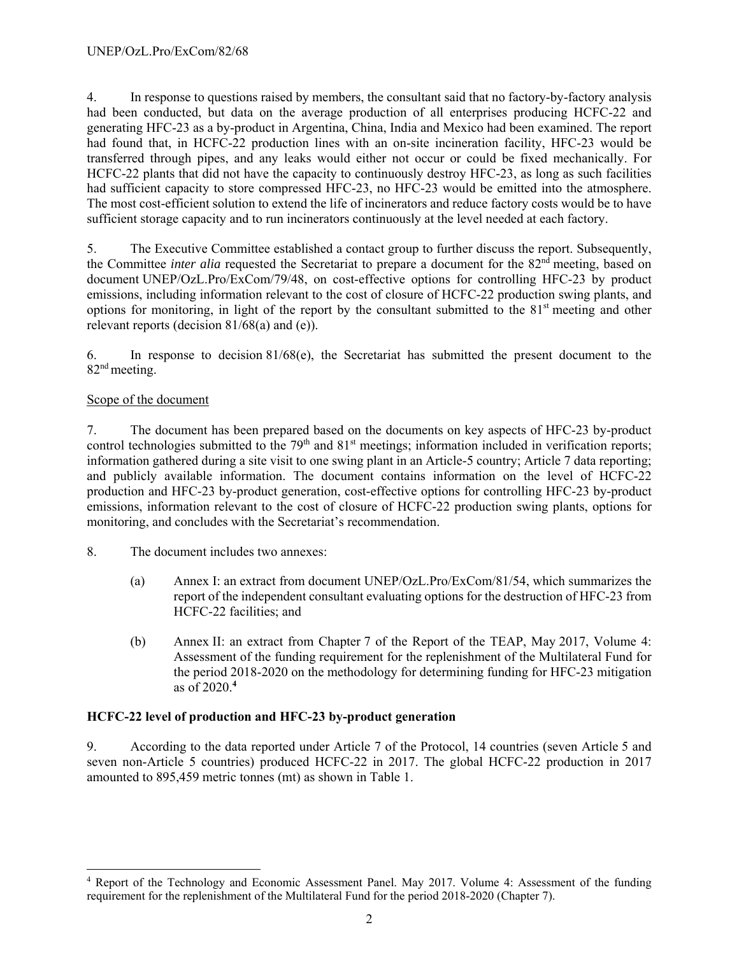4. In response to questions raised by members, the consultant said that no factory-by-factory analysis had been conducted, but data on the average production of all enterprises producing HCFC-22 and generating HFC-23 as a by-product in Argentina, China, India and Mexico had been examined. The report had found that, in HCFC-22 production lines with an on-site incineration facility, HFC-23 would be transferred through pipes, and any leaks would either not occur or could be fixed mechanically. For HCFC-22 plants that did not have the capacity to continuously destroy HFC-23, as long as such facilities had sufficient capacity to store compressed HFC-23, no HFC-23 would be emitted into the atmosphere. The most cost-efficient solution to extend the life of incinerators and reduce factory costs would be to have sufficient storage capacity and to run incinerators continuously at the level needed at each factory.

5. The Executive Committee established a contact group to further discuss the report. Subsequently, the Committee *inter alia* requested the Secretariat to prepare a document for the 82<sup>nd</sup> meeting, based on document UNEP/OzL.Pro/ExCom/79/48, on cost-effective options for controlling HFC-23 by product emissions, including information relevant to the cost of closure of HCFC-22 production swing plants, and options for monitoring, in light of the report by the consultant submitted to the  $81<sup>st</sup>$  meeting and other relevant reports (decision 81/68(a) and (e)).

6. In response to decision 81/68(e), the Secretariat has submitted the present document to the 82<sup>nd</sup> meeting.

#### Scope of the document

l

7. The document has been prepared based on the documents on key aspects of HFC-23 by-product control technologies submitted to the 79<sup>th</sup> and 81<sup>st</sup> meetings; information included in verification reports; information gathered during a site visit to one swing plant in an Article-5 country; Article 7 data reporting; and publicly available information. The document contains information on the level of HCFC-22 production and HFC-23 by-product generation, cost-effective options for controlling HFC-23 by-product emissions, information relevant to the cost of closure of HCFC-22 production swing plants, options for monitoring, and concludes with the Secretariat's recommendation.

- 8. The document includes two annexes:
	- (a) Annex I: an extract from document UNEP/OzL.Pro/ExCom/81/54, which summarizes the report of the independent consultant evaluating options for the destruction of HFC-23 from HCFC-22 facilities; and
	- (b) Annex II: an extract from Chapter 7 of the Report of the TEAP, May 2017, Volume 4: Assessment of the funding requirement for the replenishment of the Multilateral Fund for the period 2018-2020 on the methodology for determining funding for HFC-23 mitigation as of 2020.**<sup>4</sup>**

## **HCFC-22 level of production and HFC-23 by-product generation**

9. According to the data reported under Article 7 of the Protocol, 14 countries (seven Article 5 and seven non-Article 5 countries) produced HCFC-22 in 2017. The global HCFC-22 production in 2017 amounted to 895,459 metric tonnes (mt) as shown in Table 1.

<sup>&</sup>lt;sup>4</sup> Report of the Technology and Economic Assessment Panel. May 2017. Volume 4: Assessment of the funding requirement for the replenishment of the Multilateral Fund for the period 2018-2020 (Chapter 7).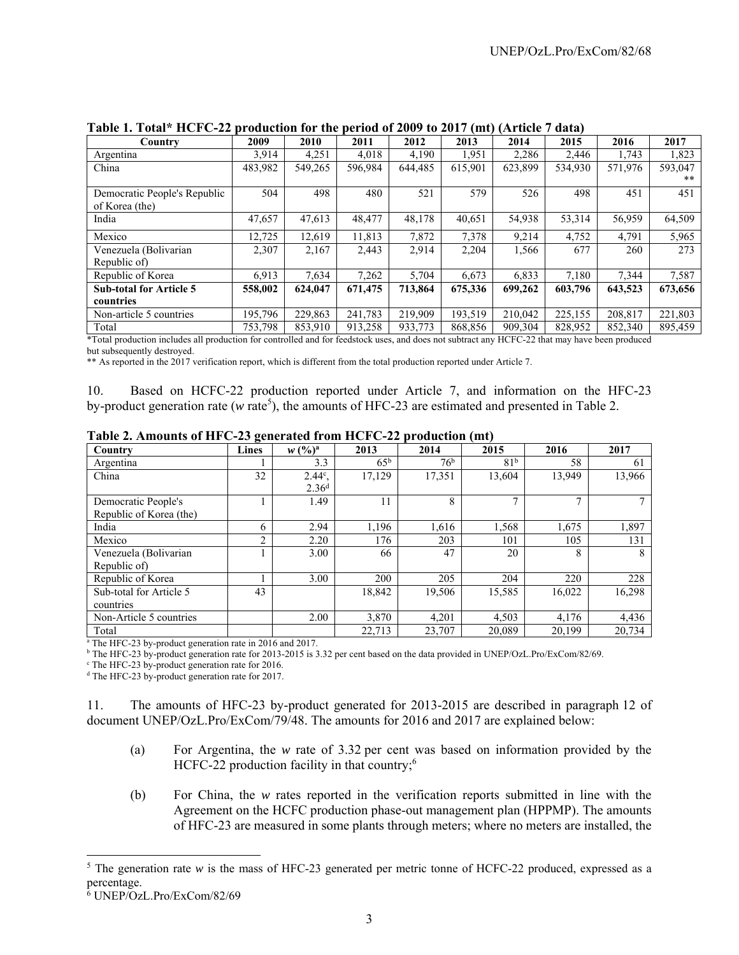| Country                        | 2009    | 2010    | 2011    | 2012    | 2013    | 2014    | 2015    | 2016    | 2017    |
|--------------------------------|---------|---------|---------|---------|---------|---------|---------|---------|---------|
| Argentina                      | 3,914   | 4,251   | 4.018   | 4,190   | 1.951   | 2,286   | 2.446   | 1.743   | 1,823   |
| China                          | 483,982 | 549,265 | 596,984 | 644,485 | 615,901 | 623.899 | 534,930 | 571,976 | 593,047 |
|                                |         |         |         |         |         |         |         |         | **      |
| Democratic People's Republic   | 504     | 498     | 480     | 521     | 579     | 526     | 498     | 451     | 451     |
| of Korea (the)                 |         |         |         |         |         |         |         |         |         |
| India                          | 47,657  | 47,613  | 48,477  | 48,178  | 40,651  | 54,938  | 53,314  | 56,959  | 64,509  |
| Mexico                         | 12.725  | 12.619  | 11.813  | 7.872   | 7,378   | 9,214   | 4.752   | 4,791   | 5,965   |
| Venezuela (Bolivarian          | 2.307   | 2,167   | 2,443   | 2,914   | 2,204   | 1,566   | 677     | 260     | 273     |
| Republic of)                   |         |         |         |         |         |         |         |         |         |
| Republic of Korea              | 6,913   | 7,634   | 7,262   | 5,704   | 6.673   | 6.833   | 7.180   | 7,344   | 7,587   |
| <b>Sub-total for Article 5</b> | 558,002 | 624,047 | 671,475 | 713,864 | 675,336 | 699,262 | 603,796 | 643,523 | 673,656 |
| countries                      |         |         |         |         |         |         |         |         |         |
| Non-article 5 countries        | 195,796 | 229,863 | 241,783 | 219,909 | 193,519 | 210.042 | 225,155 | 208,817 | 221,803 |
| Total                          | 753,798 | 853,910 | 913,258 | 933,773 | 868,856 | 909.304 | 828,952 | 852,340 | 895,459 |

**Table 1. Total\* HCFC-22 production for the period of 2009 to 2017 (mt) (Article 7 data)**

\*Total production includes all production for controlled and for feedstock uses, and does not subtract any HCFC-22 that may have been produced but subsequently destroyed.

\*\* As reported in the 2017 verification report, which is different from the total production reported under Article 7.

10. Based on HCFC-22 production reported under Article 7, and information on the HFC-23 by-product generation rate (*w* rate<sup>5</sup>), the amounts of HFC-23 are estimated and presented in Table 2.

| Country                                                              | -<br>Lines | $w (%)^a$         | 2013         | 2014            | 2015            | 2016         | 2017   |
|----------------------------------------------------------------------|------------|-------------------|--------------|-----------------|-----------------|--------------|--------|
| Argentina                                                            |            | 3.3               | $65^{\rm b}$ | 76 <sup>b</sup> | 81 <sup>b</sup> | 58           | 61     |
| China                                                                | 32         | $2.44^{\circ}$ .  | 17,129       | 17,351          | 13,604          | 13,949       | 13,966 |
|                                                                      |            | 2.36 <sup>d</sup> |              |                 |                 |              |        |
| Democratic People's                                                  |            | 1.49              | 11           | 8               |                 | $\mathbf{r}$ |        |
| Republic of Korea (the)                                              |            |                   |              |                 |                 |              |        |
| India                                                                | 6          | 2.94              | 1,196        | 1,616           | 1,568           | 1,675        | 1,897  |
| Mexico                                                               | 2          | 2.20              | 176          | 203             | 101             | 105          | 131    |
| Venezuela (Bolivarian                                                |            | 3.00              | 66           | 47              | 20              | 8            | 8      |
| Republic of)                                                         |            |                   |              |                 |                 |              |        |
| Republic of Korea                                                    |            | 3.00              | 200          | 205             | 204             | 220          | 228    |
| Sub-total for Article 5                                              | 43         |                   | 18,842       | 19,506          | 15,585          | 16,022       | 16,298 |
| countries                                                            |            |                   |              |                 |                 |              |        |
| Non-Article 5 countries                                              |            | 2.00              | 3.870        | 4,201           | 4.503           | 4.176        | 4,436  |
| Total                                                                |            |                   | 22,713       | 23,707          | 20,089          | 20,199       | 20,734 |
| <sup>a</sup> The HFC-23 by-product generation rate in 2016 and 2017. |            |                   |              |                 |                 |              |        |

**Table 2. Amounts of HFC-23 generated from HCFC-22 production (mt)** 

<sup>b</sup> The HFC-23 by-product generation rate for 2013-2015 is 3.32 per cent based on the data provided in UNEP/OzL.Pro/ExCom/82/69.

<sup>c</sup> The HFC-23 by-product generation rate for 2016.

<sup>d</sup> The HFC-23 by-product generation rate for 2017.

11. The amounts of HFC-23 by-product generated for 2013-2015 are described in paragraph 12 of document UNEP/OzL.Pro/ExCom/79/48. The amounts for 2016 and 2017 are explained below:

- (a) For Argentina, the *w* rate of 3.32 per cent was based on information provided by the HCFC-22 production facility in that country; $6$
- (b) For China, the *w* rates reported in the verification reports submitted in line with the Agreement on the HCFC production phase-out management plan (HPPMP). The amounts of HFC-23 are measured in some plants through meters; where no meters are installed, the

l

<sup>&</sup>lt;sup>5</sup> The generation rate  $w$  is the mass of HFC-23 generated per metric tonne of HCFC-22 produced, expressed as a percentage.

<sup>6</sup> UNEP/OzL.Pro/ExCom/82/69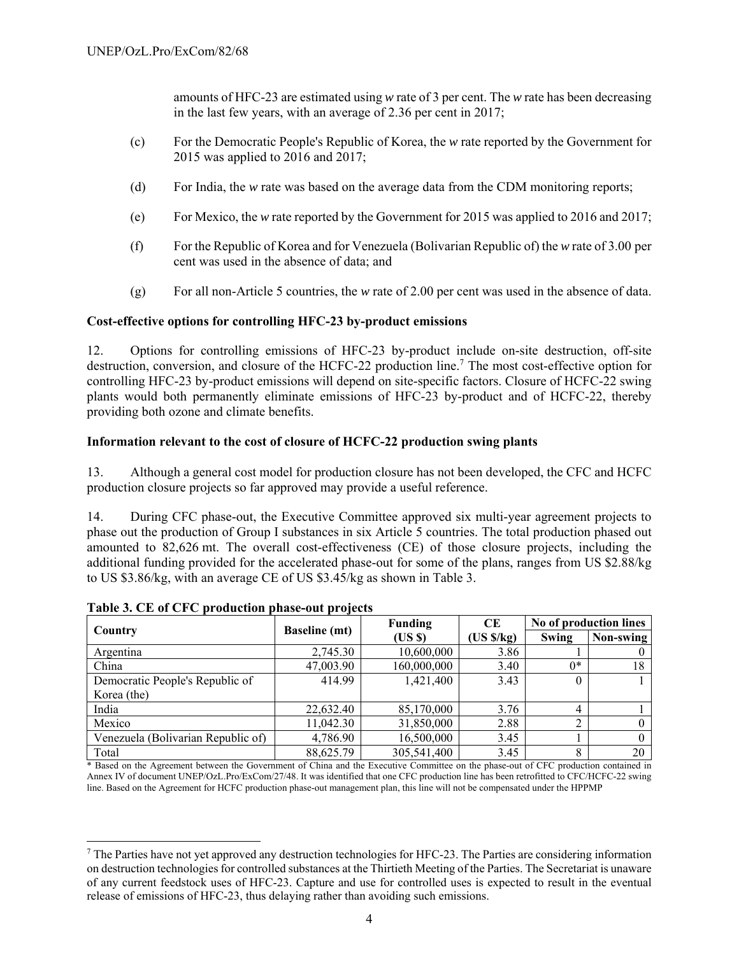amounts of HFC-23 are estimated using *w* rate of 3 per cent. The *w* rate has been decreasing in the last few years, with an average of 2.36 per cent in 2017;

- (c) For the Democratic People's Republic of Korea, the *w* rate reported by the Government for 2015 was applied to 2016 and 2017;
- (d) For India, the *w* rate was based on the average data from the CDM monitoring reports;
- (e) For Mexico, the *w* rate reported by the Government for 2015 was applied to 2016 and 2017;
- (f) For the Republic of Korea and for Venezuela (Bolivarian Republic of) the *w* rate of 3.00 per cent was used in the absence of data; and
- (g) For all non-Article 5 countries, the *w* rate of 2.00 per cent was used in the absence of data.

#### **Cost-effective options for controlling HFC-23 by-product emissions**

12. Options for controlling emissions of HFC-23 by-product include on-site destruction, off-site destruction, conversion, and closure of the HCFC-22 production line.<sup>7</sup> The most cost-effective option for controlling HFC-23 by-product emissions will depend on site-specific factors. Closure of HCFC-22 swing plants would both permanently eliminate emissions of HFC-23 by-product and of HCFC-22, thereby providing both ozone and climate benefits.

#### **Information relevant to the cost of closure of HCFC-22 production swing plants**

13. Although a general cost model for production closure has not been developed, the CFC and HCFC production closure projects so far approved may provide a useful reference.

14. During CFC phase-out, the Executive Committee approved six multi-year agreement projects to phase out the production of Group I substances in six Article 5 countries. The total production phased out amounted to 82,626 mt. The overall cost-effectiveness (CE) of those closure projects, including the additional funding provided for the accelerated phase-out for some of the plans, ranges from US \$2.88/kg to US \$3.86/kg, with an average CE of US \$3.45/kg as shown in Table 3.

|                                    | .                    | <b>Funding</b> | CE        | No of production lines |           |
|------------------------------------|----------------------|----------------|-----------|------------------------|-----------|
| Country                            | <b>Baseline</b> (mt) | (USS)          | (US S/kg) | Swing                  | Non-swing |
| Argentina                          | 2,745.30             | 10,600,000     | 3.86      |                        |           |
| China                              | 47,003.90            | 160,000,000    | 3.40      | $0^*$                  | 18        |
| Democratic People's Republic of    | 414.99               | 1,421,400      | 3.43      | $\theta$               |           |
| Korea (the)                        |                      |                |           |                        |           |
| India                              | 22,632.40            | 85,170,000     | 3.76      |                        |           |
| Mexico                             | 11,042.30            | 31,850,000     | 2.88      | ◠                      |           |
| Venezuela (Bolivarian Republic of) | 4,786.90             | 16,500,000     | 3.45      |                        |           |
| Total                              | 88,625.79            | 305,541,400    | 3.45      | 8                      | 20        |

**Table 3. CE of CFC production phase-out projects** 

 $\overline{\phantom{a}}$ 

\* Based on the Agreement between the Government of China and the Executive Committee on the phase-out of CFC production contained in Annex IV of document UNEP/OzL.Pro/ExCom/27/48. It was identified that one CFC production line has been retrofitted to CFC/HCFC-22 swing line. Based on the Agreement for HCFC production phase-out management plan, this line will not be compensated under the HPPMP

 $^7$  The Parties have not yet approved any destruction technologies for HFC-23. The Parties are considering information on destruction technologies for controlled substances at the Thirtieth Meeting of the Parties. The Secretariat is unaware of any current feedstock uses of HFC-23. Capture and use for controlled uses is expected to result in the eventual release of emissions of HFC-23, thus delaying rather than avoiding such emissions.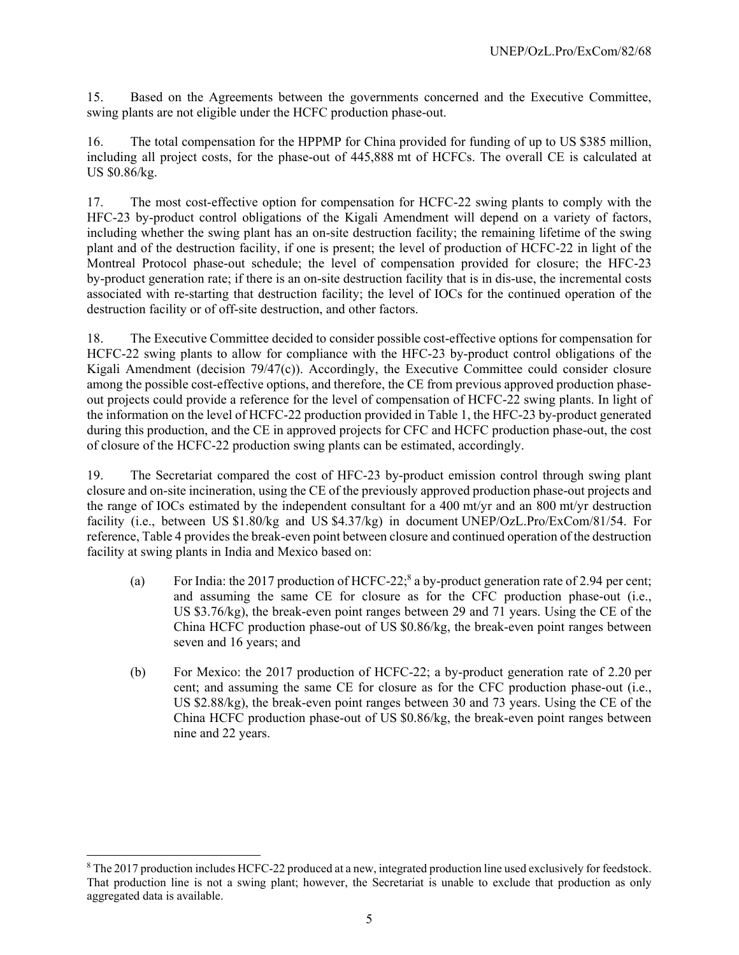15. Based on the Agreements between the governments concerned and the Executive Committee, swing plants are not eligible under the HCFC production phase-out.

16. The total compensation for the HPPMP for China provided for funding of up to US \$385 million, including all project costs, for the phase-out of 445,888 mt of HCFCs. The overall CE is calculated at US \$0.86/kg.

17. The most cost-effective option for compensation for HCFC-22 swing plants to comply with the HFC-23 by-product control obligations of the Kigali Amendment will depend on a variety of factors, including whether the swing plant has an on-site destruction facility; the remaining lifetime of the swing plant and of the destruction facility, if one is present; the level of production of HCFC-22 in light of the Montreal Protocol phase-out schedule; the level of compensation provided for closure; the HFC-23 by-product generation rate; if there is an on-site destruction facility that is in dis-use, the incremental costs associated with re-starting that destruction facility; the level of IOCs for the continued operation of the destruction facility or of off-site destruction, and other factors.

18. The Executive Committee decided to consider possible cost-effective options for compensation for HCFC-22 swing plants to allow for compliance with the HFC-23 by-product control obligations of the Kigali Amendment (decision 79/47(c)). Accordingly, the Executive Committee could consider closure among the possible cost-effective options, and therefore, the CE from previous approved production phaseout projects could provide a reference for the level of compensation of HCFC-22 swing plants. In light of the information on the level of HCFC-22 production provided in Table 1, the HFC-23 by-product generated during this production, and the CE in approved projects for CFC and HCFC production phase-out, the cost of closure of the HCFC-22 production swing plants can be estimated, accordingly.

19. The Secretariat compared the cost of HFC-23 by-product emission control through swing plant closure and on-site incineration, using the CE of the previously approved production phase-out projects and the range of IOCs estimated by the independent consultant for a 400 mt/yr and an 800 mt/yr destruction facility (i.e., between US \$1.80/kg and US \$4.37/kg) in document UNEP/OzL.Pro/ExCom/81/54. For reference, Table 4 provides the break-even point between closure and continued operation of the destruction facility at swing plants in India and Mexico based on:

- (a) For India: the 2017 production of HCFC-22;<sup>8</sup> a by-product generation rate of 2.94 per cent; and assuming the same CE for closure as for the CFC production phase-out (i.e., US \$3.76/kg), the break-even point ranges between 29 and 71 years. Using the CE of the China HCFC production phase-out of US \$0.86/kg, the break-even point ranges between seven and 16 years; and
- (b) For Mexico: the 2017 production of HCFC-22; a by-product generation rate of 2.20 per cent; and assuming the same CE for closure as for the CFC production phase-out (i.e., US \$2.88/kg), the break-even point ranges between 30 and 73 years. Using the CE of the China HCFC production phase-out of US \$0.86/kg, the break-even point ranges between nine and 22 years.

1

<sup>&</sup>lt;sup>8</sup> The 2017 production includes HCFC-22 produced at a new, integrated production line used exclusively for feedstock. That production line is not a swing plant; however, the Secretariat is unable to exclude that production as only aggregated data is available.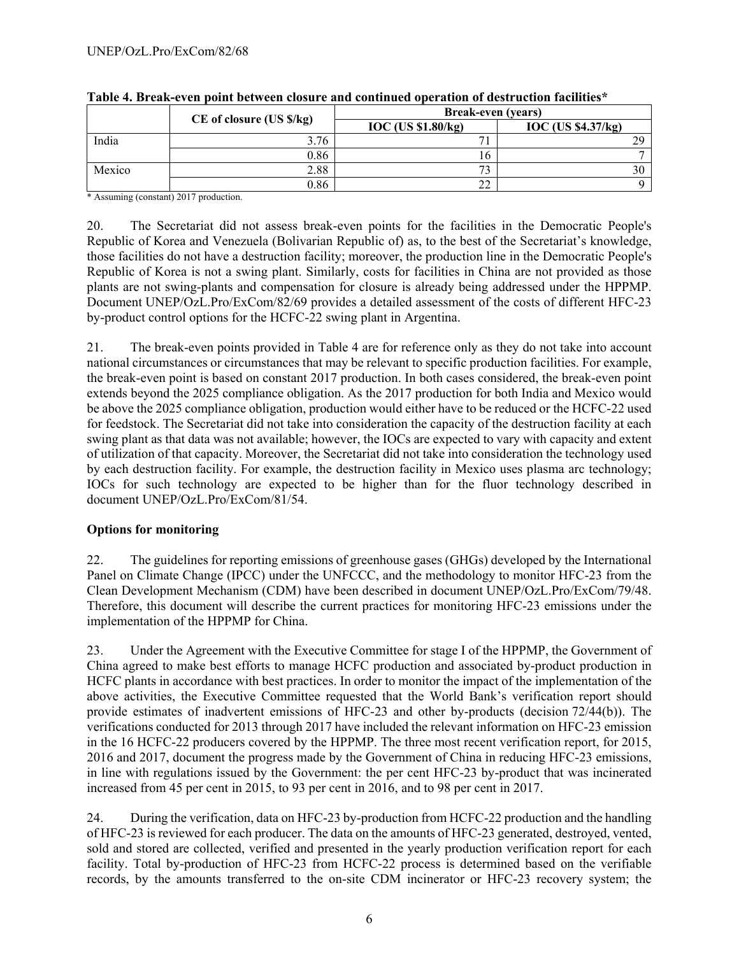|        | $CE$ of closure (US $\frac{s}{kg}$ ) | <b>Break-even</b> (years) |                    |  |  |  |
|--------|--------------------------------------|---------------------------|--------------------|--|--|--|
|        |                                      | <b>IOC</b> (US \$1.80/kg) | IOC (US \$4.37/kg) |  |  |  |
| India  | 3.76                                 |                           | $\gamma$ o         |  |  |  |
|        | 0.86                                 | ιn                        |                    |  |  |  |
| Mexico | 2.88                                 | $\mathbf{z}$              |                    |  |  |  |
|        | 0.86                                 | $\sim$<br>∠∠              |                    |  |  |  |

| Table 4. Break-even point between closure and continued operation of destruction facilities* |  |  |  |
|----------------------------------------------------------------------------------------------|--|--|--|
|                                                                                              |  |  |  |

\* Assuming (constant) 2017 production.

20. The Secretariat did not assess break-even points for the facilities in the Democratic People's Republic of Korea and Venezuela (Bolivarian Republic of) as, to the best of the Secretariat's knowledge, those facilities do not have a destruction facility; moreover, the production line in the Democratic People's Republic of Korea is not a swing plant. Similarly, costs for facilities in China are not provided as those plants are not swing-plants and compensation for closure is already being addressed under the HPPMP. Document UNEP/OzL.Pro/ExCom/82/69 provides a detailed assessment of the costs of different HFC-23 by-product control options for the HCFC-22 swing plant in Argentina.

21. The break-even points provided in Table 4 are for reference only as they do not take into account national circumstances or circumstances that may be relevant to specific production facilities. For example, the break-even point is based on constant 2017 production. In both cases considered, the break-even point extends beyond the 2025 compliance obligation. As the 2017 production for both India and Mexico would be above the 2025 compliance obligation, production would either have to be reduced or the HCFC-22 used for feedstock. The Secretariat did not take into consideration the capacity of the destruction facility at each swing plant as that data was not available; however, the IOCs are expected to vary with capacity and extent of utilization of that capacity. Moreover, the Secretariat did not take into consideration the technology used by each destruction facility. For example, the destruction facility in Mexico uses plasma arc technology; IOCs for such technology are expected to be higher than for the fluor technology described in document UNEP/OzL.Pro/ExCom/81/54.

#### **Options for monitoring**

22. The guidelines for reporting emissions of greenhouse gases (GHGs) developed by the International Panel on Climate Change (IPCC) under the UNFCCC, and the methodology to monitor HFC-23 from the Clean Development Mechanism (CDM) have been described in document UNEP/OzL.Pro/ExCom/79/48. Therefore, this document will describe the current practices for monitoring HFC-23 emissions under the implementation of the HPPMP for China.

23. Under the Agreement with the Executive Committee for stage I of the HPPMP, the Government of China agreed to make best efforts to manage HCFC production and associated by-product production in HCFC plants in accordance with best practices. In order to monitor the impact of the implementation of the above activities, the Executive Committee requested that the World Bank's verification report should provide estimates of inadvertent emissions of HFC-23 and other by-products (decision 72/44(b)). The verifications conducted for 2013 through 2017 have included the relevant information on HFC-23 emission in the 16 HCFC-22 producers covered by the HPPMP. The three most recent verification report, for 2015, 2016 and 2017, document the progress made by the Government of China in reducing HFC-23 emissions, in line with regulations issued by the Government: the per cent HFC-23 by-product that was incinerated increased from 45 per cent in 2015, to 93 per cent in 2016, and to 98 per cent in 2017.

24. During the verification, data on HFC-23 by-production from HCFC-22 production and the handling of HFC-23 is reviewed for each producer. The data on the amounts of HFC-23 generated, destroyed, vented, sold and stored are collected, verified and presented in the yearly production verification report for each facility. Total by-production of HFC-23 from HCFC-22 process is determined based on the verifiable records, by the amounts transferred to the on-site CDM incinerator or HFC-23 recovery system; the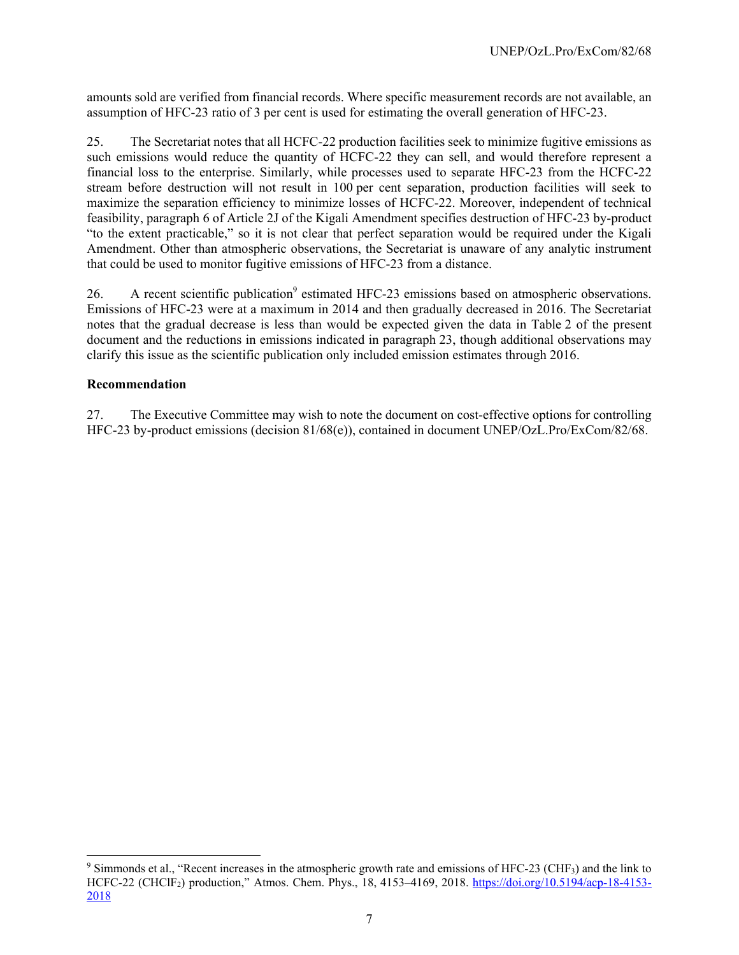amounts sold are verified from financial records. Where specific measurement records are not available, an assumption of HFC-23 ratio of 3 per cent is used for estimating the overall generation of HFC-23.

25. The Secretariat notes that all HCFC-22 production facilities seek to minimize fugitive emissions as such emissions would reduce the quantity of HCFC-22 they can sell, and would therefore represent a financial loss to the enterprise. Similarly, while processes used to separate HFC-23 from the HCFC-22 stream before destruction will not result in 100 per cent separation, production facilities will seek to maximize the separation efficiency to minimize losses of HCFC-22. Moreover, independent of technical feasibility, paragraph 6 of Article 2J of the Kigali Amendment specifies destruction of HFC-23 by-product "to the extent practicable," so it is not clear that perfect separation would be required under the Kigali Amendment. Other than atmospheric observations, the Secretariat is unaware of any analytic instrument that could be used to monitor fugitive emissions of HFC-23 from a distance.

26. A recent scientific publication<sup>9</sup> estimated HFC-23 emissions based on atmospheric observations. Emissions of HFC-23 were at a maximum in 2014 and then gradually decreased in 2016. The Secretariat notes that the gradual decrease is less than would be expected given the data in Table 2 of the present document and the reductions in emissions indicated in paragraph 23, though additional observations may clarify this issue as the scientific publication only included emission estimates through 2016.

#### **Recommendation**

1

27. The Executive Committee may wish to note the document on cost-effective options for controlling HFC-23 by-product emissions (decision 81/68(e)), contained in document UNEP/OzL.Pro/ExCom/82/68.

 $9$  Simmonds et al., "Recent increases in the atmospheric growth rate and emissions of HFC-23 (CHF<sub>3</sub>) and the link to HCFC-22 (CHClF2) production," Atmos. Chem. Phys., 18, 4153–4169, 2018. https://doi.org/10.5194/acp-18-4153- 2018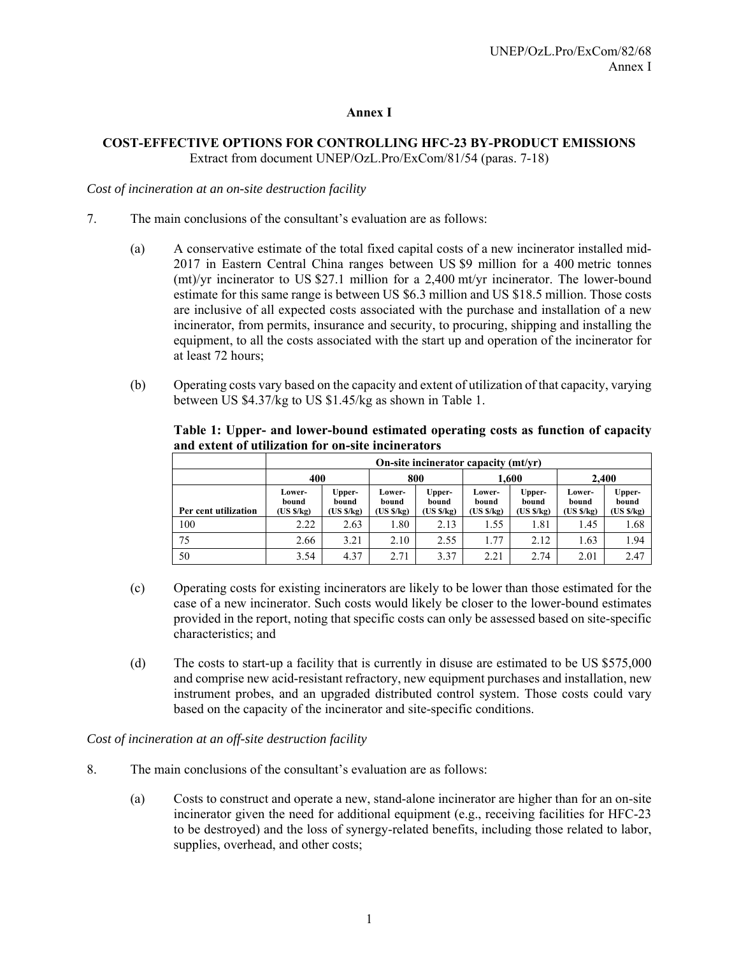#### **Annex I**

#### **COST-EFFECTIVE OPTIONS FOR CONTROLLING HFC-23 BY-PRODUCT EMISSIONS**  Extract from document UNEP/OzL.Pro/ExCom/81/54 (paras. 7-18)

*Cost of incineration at an on-site destruction facility* 

- 7. The main conclusions of the consultant's evaluation are as follows:
	- (a) A conservative estimate of the total fixed capital costs of a new incinerator installed mid-2017 in Eastern Central China ranges between US \$9 million for a 400 metric tonnes (mt)/yr incinerator to US \$27.1 million for a 2,400 mt/yr incinerator. The lower-bound estimate for this same range is between US \$6.3 million and US \$18.5 million. Those costs are inclusive of all expected costs associated with the purchase and installation of a new incinerator, from permits, insurance and security, to procuring, shipping and installing the equipment, to all the costs associated with the start up and operation of the incinerator for at least 72 hours;
	- (b) Operating costs vary based on the capacity and extent of utilization of that capacity, varying between US \$4.37/kg to US \$1.45/kg as shown in Table 1.

|                      |                               | On-site incinerator capacity (mt/yr) |                               |                              |                              |                              |                              |                              |  |
|----------------------|-------------------------------|--------------------------------------|-------------------------------|------------------------------|------------------------------|------------------------------|------------------------------|------------------------------|--|
|                      | 400                           |                                      | 800                           |                              | 1.600                        |                              | 2.400                        |                              |  |
| Per cent utilization | Lower-<br>bound<br>(US \$/kg) | Upper-<br>bound<br>(US \$/kg)        | Lower-<br>bound<br>(US \$/kg) | Upper-<br>bound<br>(US S/kg) | Lower-<br>bound<br>(US S/kg) | Upper-<br>bound<br>(US S/kg) | Lower-<br>bound<br>(US S/kg) | Upper-<br>bound<br>(US S/kg) |  |
| 100                  | 2.22                          | 2.63                                 | 1.80                          | 2.13                         | 1.55                         | 1.81                         | 1.45                         | 1.68                         |  |
| 75                   | 2.66                          | 3.21                                 | 2.10                          | 2.55                         | 1.77                         | 2.12                         | 1.63                         | 1.94                         |  |
| 50                   | 3.54                          | 4.37                                 | 2.71                          | 3.37                         | 2.21                         | 2.74                         | 2.01                         | 2.47                         |  |

**Table 1: Upper- and lower-bound estimated operating costs as function of capacity and extent of utilization for on-site incinerators** 

- (c) Operating costs for existing incinerators are likely to be lower than those estimated for the case of a new incinerator. Such costs would likely be closer to the lower-bound estimates provided in the report, noting that specific costs can only be assessed based on site-specific characteristics; and
- (d) The costs to start-up a facility that is currently in disuse are estimated to be US \$575,000 and comprise new acid-resistant refractory, new equipment purchases and installation, new instrument probes, and an upgraded distributed control system. Those costs could vary based on the capacity of the incinerator and site-specific conditions.

*Cost of incineration at an off-site destruction facility* 

- 8. The main conclusions of the consultant's evaluation are as follows:
	- (a) Costs to construct and operate a new, stand-alone incinerator are higher than for an on-site incinerator given the need for additional equipment (e.g., receiving facilities for HFC-23 to be destroyed) and the loss of synergy-related benefits, including those related to labor, supplies, overhead, and other costs;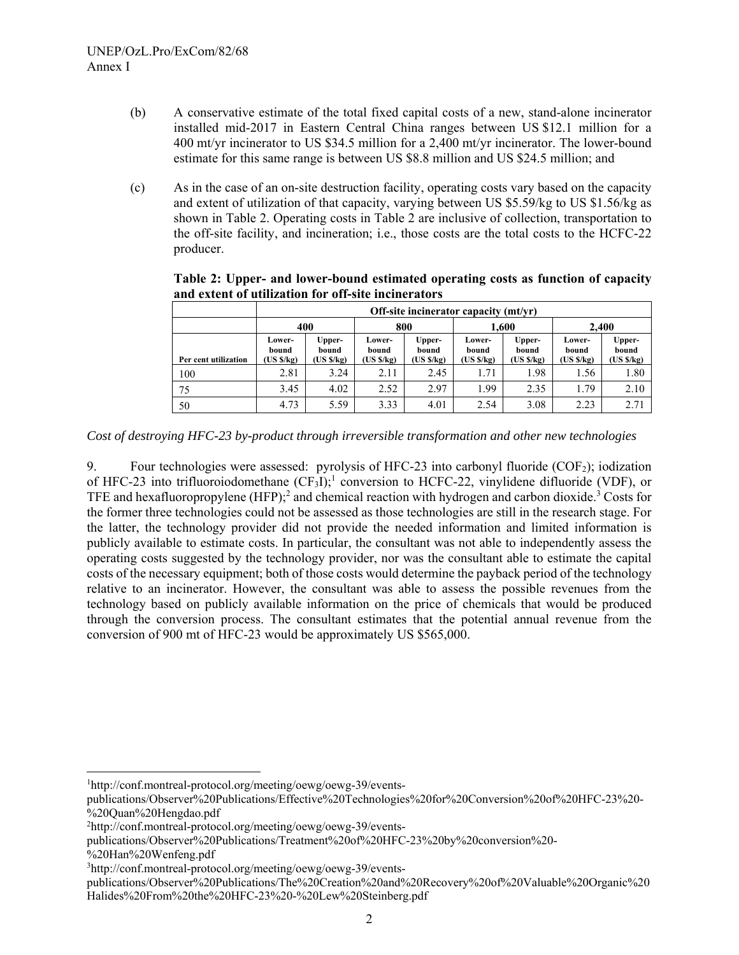- (b) A conservative estimate of the total fixed capital costs of a new, stand-alone incinerator installed mid-2017 in Eastern Central China ranges between US \$12.1 million for a 400 mt/yr incinerator to US \$34.5 million for a 2,400 mt/yr incinerator. The lower-bound estimate for this same range is between US \$8.8 million and US \$24.5 million; and
- (c) As in the case of an on-site destruction facility, operating costs vary based on the capacity and extent of utilization of that capacity, varying between US \$5.59/kg to US \$1.56/kg as shown in Table 2. Operating costs in Table 2 are inclusive of collection, transportation to the off-site facility, and incineration; i.e., those costs are the total costs to the HCFC-22 producer.

**Table 2: Upper- and lower-bound estimated operating costs as function of capacity and extent of utilization for off-site incinerators** 

|                      |                              | Off-site incinerator capacity (mt/yr) |                                                               |      |                              |                              |                              |                              |  |  |  |
|----------------------|------------------------------|---------------------------------------|---------------------------------------------------------------|------|------------------------------|------------------------------|------------------------------|------------------------------|--|--|--|
|                      | 400                          |                                       | 800                                                           |      |                              | 1.600                        | 2.400                        |                              |  |  |  |
| Per cent utilization | Lower-<br>bound<br>(US S/kg) | Upper-<br>bound<br>(US \$/kg)         | Upper-<br>Lower-<br>bound<br>bound<br>(US \$/kg)<br>(US S/kg) |      | Lower-<br>bound<br>(US S/kg) | Upper-<br>bound<br>(US S/kg) | Lower-<br>bound<br>(US S/kg) | Upper-<br>bound<br>(US S/kg) |  |  |  |
| 100                  | 2.81                         | 3.24                                  | 2.11                                                          | 2.45 | 1.71                         | 1.98                         | 1.56                         | 1.80                         |  |  |  |
| 75                   | 3.45                         | 4.02                                  | 2.52                                                          | 2.97 | 1.99                         | 2.35                         | 1.79                         | 2.10                         |  |  |  |
| 50                   | 4.73                         | 5.59                                  | 3.33                                                          | 4.01 | 2.54                         | 3.08                         | 2.23                         | 2.71                         |  |  |  |

*Cost of destroying HFC-23 by-product through irreversible transformation and other new technologies* 

9. Four technologies were assessed: pyrolysis of HFC-23 into carbonyl fluoride  $(COF<sub>2</sub>)$ ; iodization of HFC-23 into trifluoroiodomethane  $(CF_3I)$ ; conversion to HCFC-22, vinylidene difluoride (VDF), or TFE and hexafluoropropylene  $(HFP)$ ;<sup>2</sup> and chemical reaction with hydrogen and carbon dioxide.<sup>3</sup> Costs for the former three technologies could not be assessed as those technologies are still in the research stage. For the latter, the technology provider did not provide the needed information and limited information is publicly available to estimate costs. In particular, the consultant was not able to independently assess the operating costs suggested by the technology provider, nor was the consultant able to estimate the capital costs of the necessary equipment; both of those costs would determine the payback period of the technology relative to an incinerator. However, the consultant was able to assess the possible revenues from the technology based on publicly available information on the price of chemicals that would be produced through the conversion process. The consultant estimates that the potential annual revenue from the conversion of 900 mt of HFC-23 would be approximately US \$565,000.

publications/Observer%20Publications/Treatment%20of%20HFC-23%20by%20conversion%20-

%20Han%20Wenfeng.pdf

1

publications/Observer%20Publications/The%20Creation%20and%20Recovery%20of%20Valuable%20Organic%20 Halides%20From%20the%20HFC-23%20-%20Lew%20Steinberg.pdf

<sup>1</sup> http://conf.montreal-protocol.org/meeting/oewg/oewg-39/events-

publications/Observer%20Publications/Effective%20Technologies%20for%20Conversion%20of%20HFC-23%20- %20Quan%20Hengdao.pdf

<sup>2</sup> http://conf.montreal-protocol.org/meeting/oewg/oewg-39/events-

<sup>3</sup> http://conf.montreal-protocol.org/meeting/oewg/oewg-39/events-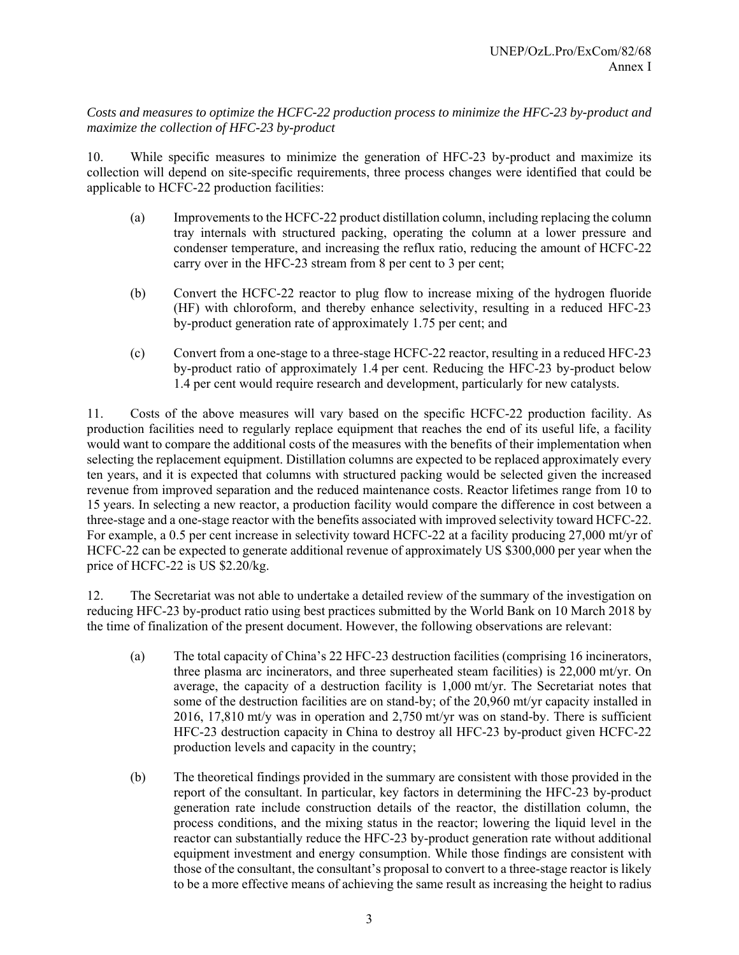*Costs and measures to optimize the HCFC-22 production process to minimize the HFC-23 by-product and maximize the collection of HFC-23 by-product* 

10. While specific measures to minimize the generation of HFC-23 by-product and maximize its collection will depend on site-specific requirements, three process changes were identified that could be applicable to HCFC-22 production facilities:

- (a) Improvements to the HCFC-22 product distillation column, including replacing the column tray internals with structured packing, operating the column at a lower pressure and condenser temperature, and increasing the reflux ratio, reducing the amount of HCFC-22 carry over in the HFC-23 stream from 8 per cent to 3 per cent;
- (b) Convert the HCFC-22 reactor to plug flow to increase mixing of the hydrogen fluoride (HF) with chloroform, and thereby enhance selectivity, resulting in a reduced HFC-23 by-product generation rate of approximately 1.75 per cent; and
- (c) Convert from a one-stage to a three-stage HCFC-22 reactor, resulting in a reduced HFC-23 by-product ratio of approximately 1.4 per cent. Reducing the HFC-23 by-product below 1.4 per cent would require research and development, particularly for new catalysts.

11. Costs of the above measures will vary based on the specific HCFC-22 production facility. As production facilities need to regularly replace equipment that reaches the end of its useful life, a facility would want to compare the additional costs of the measures with the benefits of their implementation when selecting the replacement equipment. Distillation columns are expected to be replaced approximately every ten years, and it is expected that columns with structured packing would be selected given the increased revenue from improved separation and the reduced maintenance costs. Reactor lifetimes range from 10 to 15 years. In selecting a new reactor, a production facility would compare the difference in cost between a three-stage and a one-stage reactor with the benefits associated with improved selectivity toward HCFC-22. For example, a 0.5 per cent increase in selectivity toward HCFC-22 at a facility producing 27,000 mt/yr of HCFC-22 can be expected to generate additional revenue of approximately US \$300,000 per year when the price of HCFC-22 is US \$2.20/kg.

12. The Secretariat was not able to undertake a detailed review of the summary of the investigation on reducing HFC-23 by-product ratio using best practices submitted by the World Bank on 10 March 2018 by the time of finalization of the present document. However, the following observations are relevant:

- (a) The total capacity of China's 22 HFC-23 destruction facilities (comprising 16 incinerators, three plasma arc incinerators, and three superheated steam facilities) is 22,000 mt/yr. On average, the capacity of a destruction facility is  $1,000$  mt/yr. The Secretariat notes that some of the destruction facilities are on stand-by; of the 20,960 mt/yr capacity installed in 2016, 17,810 mt/y was in operation and 2,750 mt/yr was on stand-by. There is sufficient HFC-23 destruction capacity in China to destroy all HFC-23 by-product given HCFC-22 production levels and capacity in the country;
- (b) The theoretical findings provided in the summary are consistent with those provided in the report of the consultant. In particular, key factors in determining the HFC-23 by-product generation rate include construction details of the reactor, the distillation column, the process conditions, and the mixing status in the reactor; lowering the liquid level in the reactor can substantially reduce the HFC-23 by-product generation rate without additional equipment investment and energy consumption. While those findings are consistent with those of the consultant, the consultant's proposal to convert to a three-stage reactor is likely to be a more effective means of achieving the same result as increasing the height to radius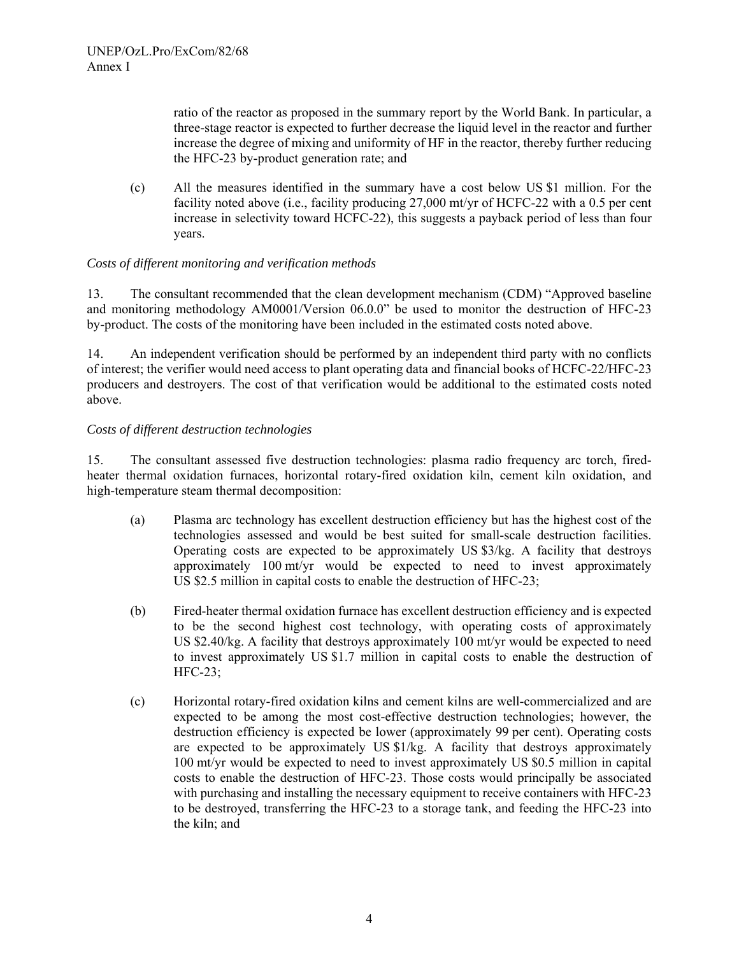ratio of the reactor as proposed in the summary report by the World Bank. In particular, a three-stage reactor is expected to further decrease the liquid level in the reactor and further increase the degree of mixing and uniformity of HF in the reactor, thereby further reducing the HFC-23 by-product generation rate; and

(c) All the measures identified in the summary have a cost below US \$1 million. For the facility noted above (i.e., facility producing  $27,000$  mt/yr of HCFC-22 with a 0.5 per cent increase in selectivity toward HCFC-22), this suggests a payback period of less than four years.

#### *Costs of different monitoring and verification methods*

13. The consultant recommended that the clean development mechanism (CDM) "Approved baseline and monitoring methodology AM0001/Version 06.0.0" be used to monitor the destruction of HFC-23 by-product. The costs of the monitoring have been included in the estimated costs noted above.

14. An independent verification should be performed by an independent third party with no conflicts of interest; the verifier would need access to plant operating data and financial books of HCFC-22/HFC-23 producers and destroyers. The cost of that verification would be additional to the estimated costs noted above.

#### *Costs of different destruction technologies*

15. The consultant assessed five destruction technologies: plasma radio frequency arc torch, firedheater thermal oxidation furnaces, horizontal rotary-fired oxidation kiln, cement kiln oxidation, and high-temperature steam thermal decomposition:

- (a) Plasma arc technology has excellent destruction efficiency but has the highest cost of the technologies assessed and would be best suited for small-scale destruction facilities. Operating costs are expected to be approximately US \$3/kg. A facility that destroys approximately 100 mt/yr would be expected to need to invest approximately US \$2.5 million in capital costs to enable the destruction of HFC-23;
- (b) Fired-heater thermal oxidation furnace has excellent destruction efficiency and is expected to be the second highest cost technology, with operating costs of approximately US \$2.40/kg. A facility that destroys approximately 100 mt/yr would be expected to need to invest approximately US \$1.7 million in capital costs to enable the destruction of HFC-23;
- (c) Horizontal rotary-fired oxidation kilns and cement kilns are well-commercialized and are expected to be among the most cost-effective destruction technologies; however, the destruction efficiency is expected be lower (approximately 99 per cent). Operating costs are expected to be approximately US  $\frac{1}{k}$ . A facility that destroys approximately 100 mt/yr would be expected to need to invest approximately US \$0.5 million in capital costs to enable the destruction of HFC-23. Those costs would principally be associated with purchasing and installing the necessary equipment to receive containers with HFC-23 to be destroyed, transferring the HFC-23 to a storage tank, and feeding the HFC-23 into the kiln; and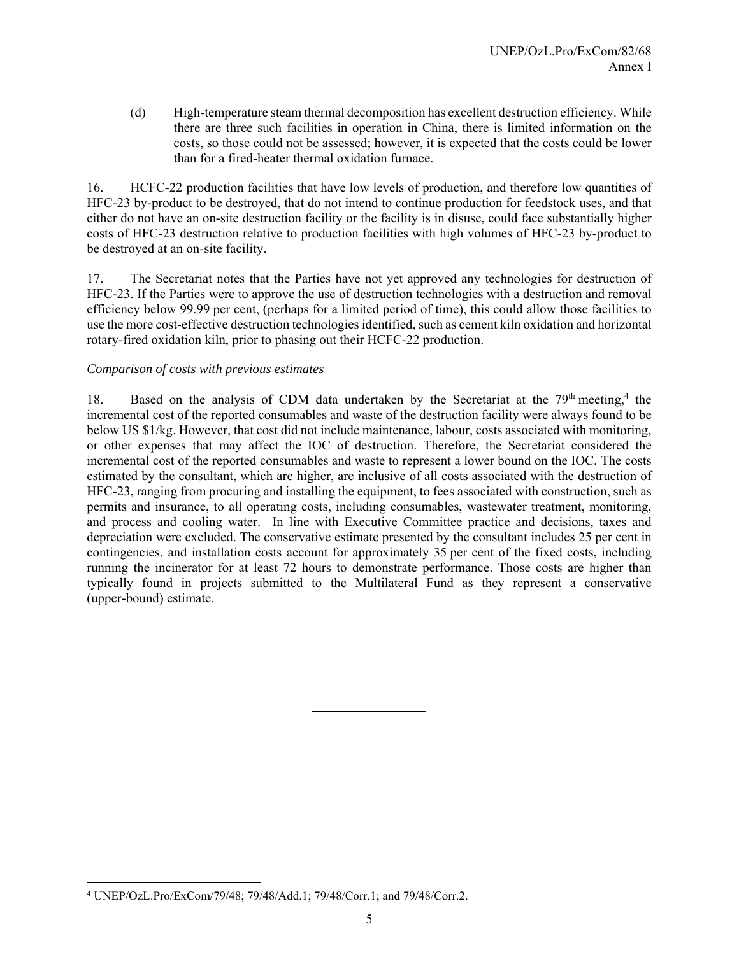(d) High-temperature steam thermal decomposition has excellent destruction efficiency. While there are three such facilities in operation in China, there is limited information on the costs, so those could not be assessed; however, it is expected that the costs could be lower than for a fired-heater thermal oxidation furnace.

16. HCFC-22 production facilities that have low levels of production, and therefore low quantities of HFC-23 by-product to be destroyed, that do not intend to continue production for feedstock uses, and that either do not have an on-site destruction facility or the facility is in disuse, could face substantially higher costs of HFC-23 destruction relative to production facilities with high volumes of HFC-23 by-product to be destroyed at an on-site facility.

17. The Secretariat notes that the Parties have not yet approved any technologies for destruction of HFC-23. If the Parties were to approve the use of destruction technologies with a destruction and removal efficiency below 99.99 per cent, (perhaps for a limited period of time), this could allow those facilities to use the more cost-effective destruction technologies identified, such as cement kiln oxidation and horizontal rotary-fired oxidation kiln, prior to phasing out their HCFC-22 production.

#### *Comparison of costs with previous estimates*

18. Based on the analysis of CDM data undertaken by the Secretariat at the  $79<sup>th</sup>$  meeting,<sup>4</sup> the incremental cost of the reported consumables and waste of the destruction facility were always found to be below US \$1/kg. However, that cost did not include maintenance, labour, costs associated with monitoring, or other expenses that may affect the IOC of destruction. Therefore, the Secretariat considered the incremental cost of the reported consumables and waste to represent a lower bound on the IOC. The costs estimated by the consultant, which are higher, are inclusive of all costs associated with the destruction of HFC-23, ranging from procuring and installing the equipment, to fees associated with construction, such as permits and insurance, to all operating costs, including consumables, wastewater treatment, monitoring, and process and cooling water. In line with Executive Committee practice and decisions, taxes and depreciation were excluded. The conservative estimate presented by the consultant includes 25 per cent in contingencies, and installation costs account for approximately 35 per cent of the fixed costs, including running the incinerator for at least 72 hours to demonstrate performance. Those costs are higher than typically found in projects submitted to the Multilateral Fund as they represent a conservative (upper-bound) estimate.

 $\overline{\phantom{a}}$ 

<sup>4</sup> UNEP/OzL.Pro/ExCom/79/48; 79/48/Add.1; 79/48/Corr.1; and 79/48/Corr.2.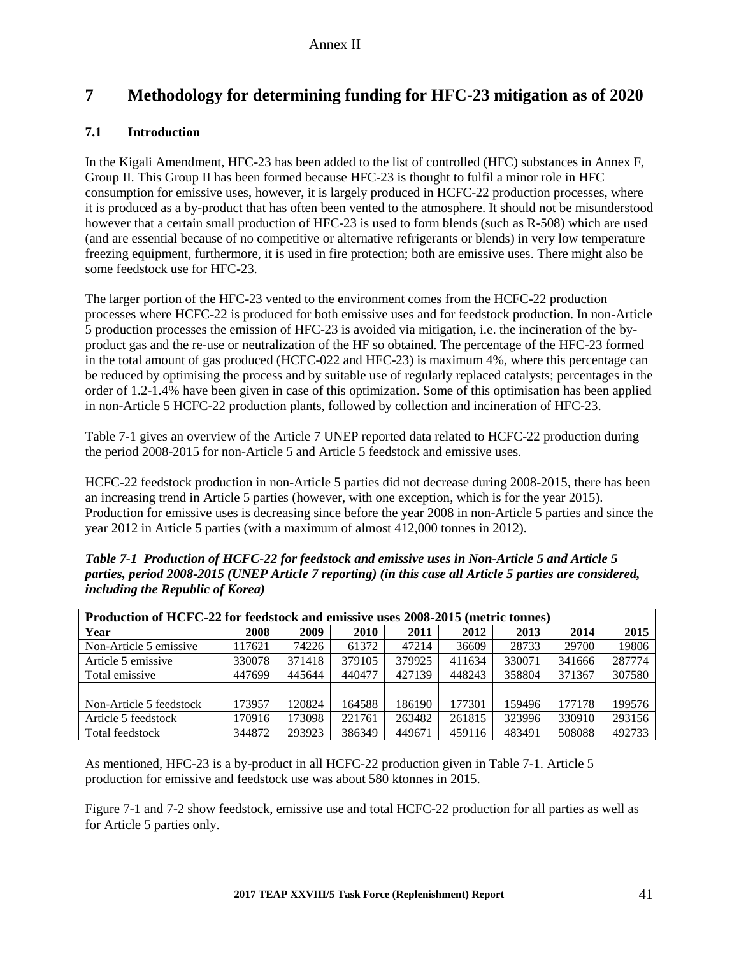## **7 Methodology for determining funding for HFC-23 mitigation as of 2020**

## **7.1 Introduction**

In the Kigali Amendment, HFC-23 has been added to the list of controlled (HFC) substances in Annex F, Group II. This Group II has been formed because HFC-23 is thought to fulfil a minor role in HFC consumption for emissive uses, however, it is largely produced in HCFC-22 production processes, where it is produced as a by-product that has often been vented to the atmosphere. It should not be misunderstood however that a certain small production of HFC-23 is used to form blends (such as R-508) which are used (and are essential because of no competitive or alternative refrigerants or blends) in very low temperature freezing equipment, furthermore, it is used in fire protection; both are emissive uses. There might also be some feedstock use for HFC-23.

The larger portion of the HFC-23 vented to the environment comes from the HCFC-22 production processes where HCFC-22 is produced for both emissive uses and for feedstock production. In non-Article 5 production processes the emission of HFC-23 is avoided via mitigation, i.e. the incineration of the byproduct gas and the re-use or neutralization of the HF so obtained. The percentage of the HFC-23 formed in the total amount of gas produced (HCFC-022 and HFC-23) is maximum 4%, where this percentage can be reduced by optimising the process and by suitable use of regularly replaced catalysts; percentages in the order of 1.2-1.4% have been given in case of this optimization. Some of this optimisation has been applied in non-Article 5 HCFC-22 production plants, followed by collection and incineration of HFC-23.

Table 7-1 gives an overview of the Article 7 UNEP reported data related to HCFC-22 production during the period 2008-2015 for non-Article 5 and Article 5 feedstock and emissive uses.

HCFC-22 feedstock production in non-Article 5 parties did not decrease during 2008-2015, there has been an increasing trend in Article 5 parties (however, with one exception, which is for the year 2015). Production for emissive uses is decreasing since before the year 2008 in non-Article 5 parties and since the year 2012 in Article 5 parties (with a maximum of almost 412,000 tonnes in 2012).

| Table 7-1 Production of HCFC-22 for feedstock and emissive uses in Non-Article 5 and Article 5           |
|----------------------------------------------------------------------------------------------------------|
| parties, period 2008-2015 (UNEP Article 7 reporting) (in this case all Article 5 parties are considered, |
| <i>including the Republic of Korea</i> )                                                                 |
|                                                                                                          |

| Production of HCFC-22 for feedstock and emissive uses 2008-2015 (metric tonnes) |        |        |             |        |        |        |        |        |  |  |
|---------------------------------------------------------------------------------|--------|--------|-------------|--------|--------|--------|--------|--------|--|--|
| Year                                                                            | 2008   | 2009   | <b>2010</b> | 2011   | 2012   | 2013   | 2014   | 2015   |  |  |
| Non-Article 5 emissive                                                          | 117621 | 74226  | 61372       | 47214  | 36609  | 28733  | 29700  | 19806  |  |  |
| Article 5 emissive                                                              | 330078 | 371418 | 379105      | 379925 | 411634 | 330071 | 341666 | 287774 |  |  |
| Total emissive                                                                  | 447699 | 445644 | 440477      | 427139 | 448243 | 358804 | 371367 | 307580 |  |  |
|                                                                                 |        |        |             |        |        |        |        |        |  |  |
| Non-Article 5 feedstock                                                         | 173957 | 120824 | 164588      | 186190 | 177301 | 159496 | 177178 | 199576 |  |  |
| Article 5 feedstock                                                             | 170916 | 173098 | 221761      | 263482 | 261815 | 323996 | 330910 | 293156 |  |  |
| Total feedstock                                                                 | 344872 | 293923 | 386349      | 449671 | 459116 | 483491 | 508088 | 492733 |  |  |

As mentioned, HFC-23 is a by-product in all HCFC-22 production given in Table 7-1. Article 5 production for emissive and feedstock use was about 580 ktonnes in 2015.

Figure 7-1 and 7-2 show feedstock, emissive use and total HCFC-22 production for all parties as well as for Article 5 parties only.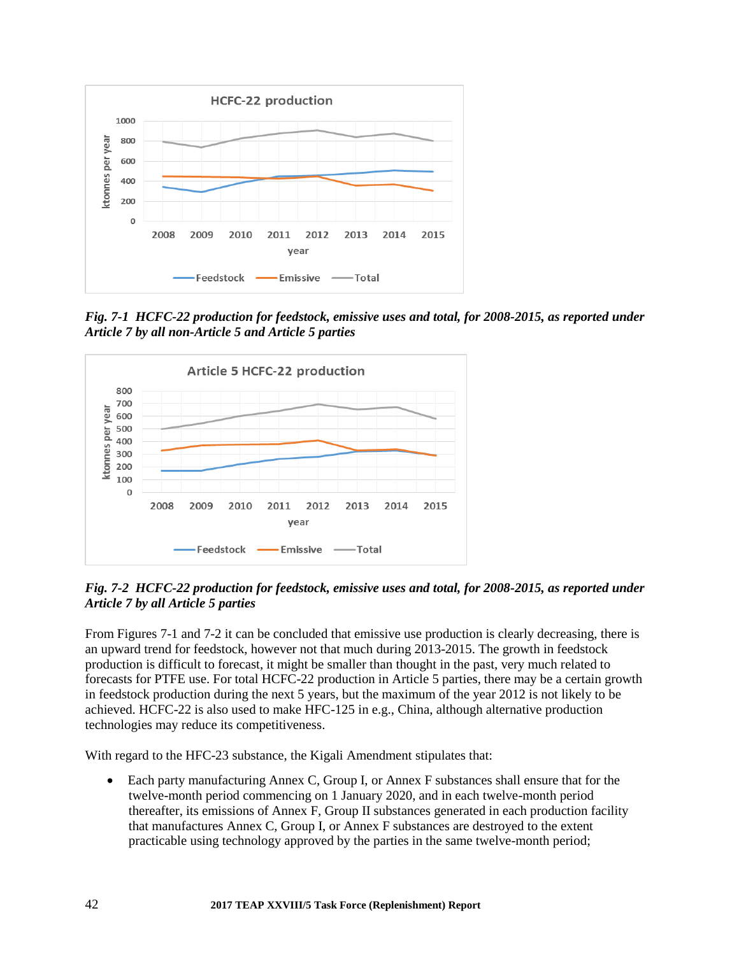

*Fig. 7-1 HCFC-22 production for feedstock, emissive uses and total, for 2008-2015, as reported under Article 7 by all non-Article 5 and Article 5 parties* 



*Fig. 7-2 HCFC-22 production for feedstock, emissive uses and total, for 2008-2015, as reported under Article 7 by all Article 5 parties* 

From Figures 7-1 and 7-2 it can be concluded that emissive use production is clearly decreasing, there is an upward trend for feedstock, however not that much during 2013-2015. The growth in feedstock production is difficult to forecast, it might be smaller than thought in the past, very much related to forecasts for PTFE use. For total HCFC-22 production in Article 5 parties, there may be a certain growth in feedstock production during the next 5 years, but the maximum of the year 2012 is not likely to be achieved. HCFC-22 is also used to make HFC-125 in e.g., China, although alternative production technologies may reduce its competitiveness.

With regard to the HFC-23 substance, the Kigali Amendment stipulates that:

 Each party manufacturing Annex C, Group I, or Annex F substances shall ensure that for the twelve-month period commencing on 1 January 2020, and in each twelve-month period thereafter, its emissions of Annex F, Group II substances generated in each production facility that manufactures Annex C, Group I, or Annex F substances are destroyed to the extent practicable using technology approved by the parties in the same twelve-month period;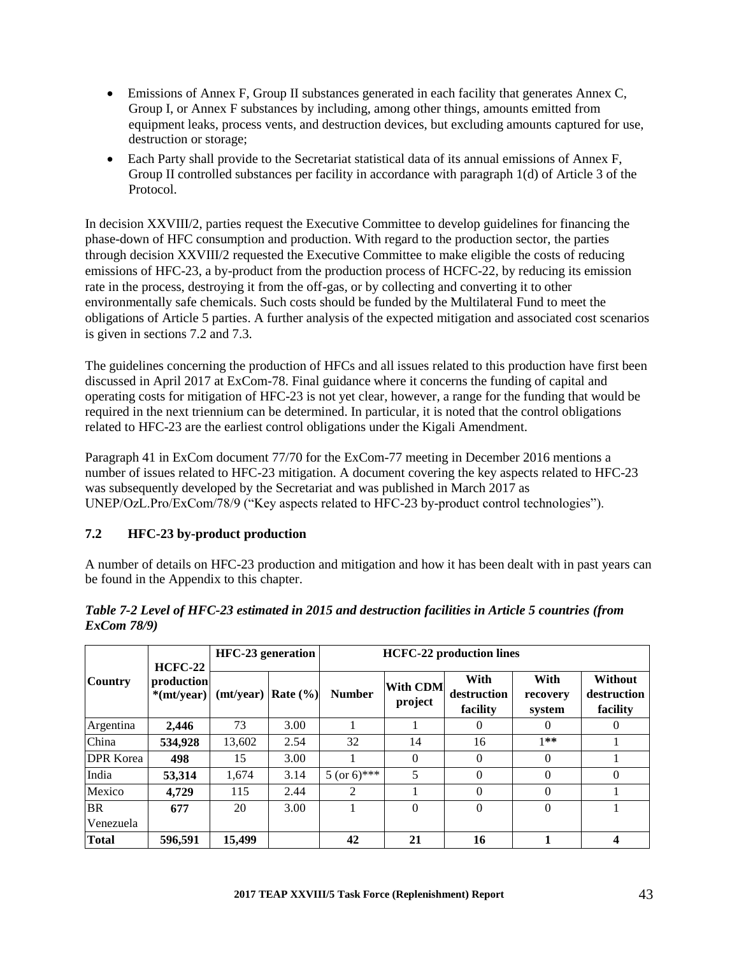- Emissions of Annex F, Group II substances generated in each facility that generates Annex C, Group I, or Annex F substances by including, among other things, amounts emitted from equipment leaks, process vents, and destruction devices, but excluding amounts captured for use, destruction or storage;
- Each Party shall provide to the Secretariat statistical data of its annual emissions of Annex F, Group II controlled substances per facility in accordance with paragraph 1(d) of Article 3 of the Protocol.

In decision XXVIII/2, parties request the Executive Committee to develop guidelines for financing the phase-down of HFC consumption and production. With regard to the production sector, the parties through decision XXVIII/2 requested the Executive Committee to make eligible the costs of reducing emissions of HFC-23, a by-product from the production process of HCFC-22, by reducing its emission rate in the process, destroying it from the off-gas, or by collecting and converting it to other environmentally safe chemicals. Such costs should be funded by the Multilateral Fund to meet the obligations of Article 5 parties. A further analysis of the expected mitigation and associated cost scenarios is given in sections 7.2 and 7.3.

The guidelines concerning the production of HFCs and all issues related to this production have first been discussed in April 2017 at ExCom-78. Final guidance where it concerns the funding of capital and operating costs for mitigation of HFC-23 is not yet clear, however, a range for the funding that would be required in the next triennium can be determined. In particular, it is noted that the control obligations related to HFC-23 are the earliest control obligations under the Kigali Amendment.

Paragraph 41 in ExCom document 77/70 for the ExCom-77 meeting in December 2016 mentions a number of issues related to HFC-23 mitigation. A document covering the key aspects related to HFC-23 was subsequently developed by the Secretariat and was published in March 2017 as UNEP/OzL.Pro/ExCom/78/9 ("Key aspects related to HFC-23 by-product control technologies").

## **7.2 HFC-23 by-product production**

A number of details on HFC-23 production and mitigation and how it has been dealt with in past years can be found in the Appendix to this chapter.

|                  | $HCFC-22$                         | HFC-23 generation |              | <b>HCFC-22</b> production lines |                     |                                 |                            |                                           |  |  |
|------------------|-----------------------------------|-------------------|--------------|---------------------------------|---------------------|---------------------------------|----------------------------|-------------------------------------------|--|--|
| <b>Country</b>   | production<br>$*(\text{mt/year})$ | (mt/year)         | Rate $(\% )$ | <b>Number</b>                   | With CDM<br>project | With<br>destruction<br>facility | With<br>recovery<br>system | <b>Without</b><br>destruction<br>facility |  |  |
| Argentina        | 2.446                             | 73                | 3.00         |                                 |                     | $\theta$                        | $\Omega$                   | $\theta$                                  |  |  |
| China            | 534,928                           | 13.602            | 2.54         | 32                              | 14                  | 16                              | $1**$                      |                                           |  |  |
| <b>DPR</b> Korea | 498                               | 15                | 3.00         |                                 | $\Omega$            | $\theta$                        | 0                          |                                           |  |  |
| India            | 53.314                            | 1,674             | 3.14         | $5 (or 6)$ ***                  | 5                   | $\theta$                        | 0                          | $\Omega$                                  |  |  |
| Mexico           | 4.729                             | 115               | 2.44         | $\mathfrak{D}$                  |                     | $\theta$                        | 0                          |                                           |  |  |
| <b>BR</b>        | 677                               | 20                | 3.00         |                                 | $\Omega$            | $\theta$                        | $\Omega$                   |                                           |  |  |
| Venezuela        |                                   |                   |              |                                 |                     |                                 |                            |                                           |  |  |
| <b>Total</b>     | 596.591                           | 15,499            |              | 42                              | 21                  | 16                              |                            | 4                                         |  |  |

#### *Table 7-2 Level of HFC-23 estimated in 2015 and destruction facilities in Article 5 countries (from ExCom 78/9)*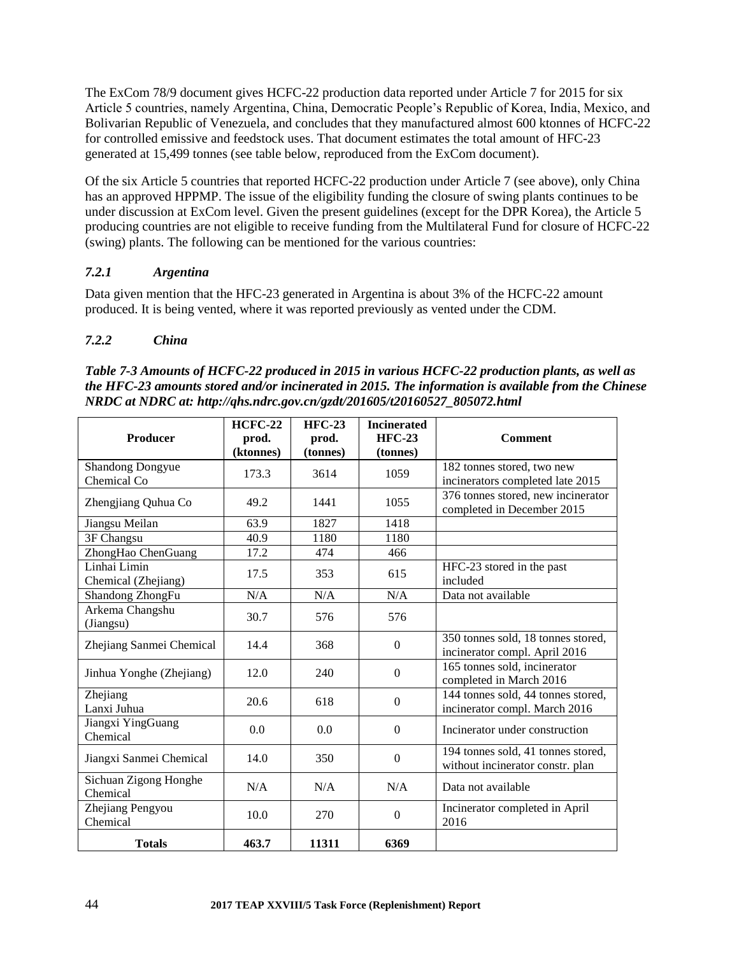The ExCom 78/9 document gives HCFC-22 production data reported under Article 7 for 2015 for six Article 5 countries, namely Argentina, China, Democratic People's Republic of Korea, India, Mexico, and Bolivarian Republic of Venezuela, and concludes that they manufactured almost 600 ktonnes of HCFC-22 for controlled emissive and feedstock uses. That document estimates the total amount of HFC-23 generated at 15,499 tonnes (see table below, reproduced from the ExCom document).

Of the six Article 5 countries that reported HCFC-22 production under Article 7 (see above), only China has an approved HPPMP. The issue of the eligibility funding the closure of swing plants continues to be under discussion at ExCom level. Given the present guidelines (except for the DPR Korea), the Article 5 producing countries are not eligible to receive funding from the Multilateral Fund for closure of HCFC-22 (swing) plants. The following can be mentioned for the various countries:

## *7.2.1 Argentina*

Data given mention that the HFC-23 generated in Argentina is about 3% of the HCFC-22 amount produced. It is being vented, where it was reported previously as vented under the CDM.

## *7.2.2 China*

| Table 7-3 Amounts of HCFC-22 produced in 2015 in various HCFC-22 production plants, as well as      |
|-----------------------------------------------------------------------------------------------------|
| the HFC-23 amounts stored and/or incinerated in 2015. The information is available from the Chinese |
| NRDC at NDRC at: http://qhs.ndrc.gov.cn/gzdt/201605/t20160527_805072.html                           |

| <b>Producer</b>                        | <b>HCFC-22</b><br>prod.<br>(ktonnes) | $HFC-23$<br>prod.<br>(tonnes) | <b>Incinerated</b><br><b>HFC-23</b><br>(tonnes) | <b>Comment</b>                                                         |
|----------------------------------------|--------------------------------------|-------------------------------|-------------------------------------------------|------------------------------------------------------------------------|
| <b>Shandong Dongyue</b><br>Chemical Co | 173.3                                | 3614                          | 1059                                            | 182 tonnes stored, two new<br>incinerators completed late 2015         |
| Zhengjiang Quhua Co                    | 49.2                                 | 1441                          | 1055                                            | 376 tonnes stored, new incinerator<br>completed in December 2015       |
| Jiangsu Meilan                         | 63.9                                 | 1827                          | 1418                                            |                                                                        |
| 3F Changsu                             | 40.9                                 | 1180                          | 1180                                            |                                                                        |
| ZhongHao ChenGuang                     | 17.2                                 | 474                           | 466                                             |                                                                        |
| Linhai Limin<br>Chemical (Zhejiang)    | 17.5                                 | 353                           | 615                                             | HFC-23 stored in the past<br>included                                  |
| Shandong ZhongFu                       | N/A                                  | N/A                           | N/A                                             | Data not available                                                     |
| Arkema Changshu<br>(Jiangsu)           | 30.7                                 | 576                           | 576                                             |                                                                        |
| Zhejiang Sanmei Chemical               | 14.4                                 | 368                           | $\theta$                                        | 350 tonnes sold, 18 tonnes stored,<br>incinerator compl. April 2016    |
| Jinhua Yonghe (Zhejiang)               | 12.0                                 | 240                           | $\boldsymbol{0}$                                | 165 tonnes sold, incinerator<br>completed in March 2016                |
| Zhejiang<br>Lanxi Juhua                | 20.6                                 | 618                           | $\boldsymbol{0}$                                | 144 tonnes sold, 44 tonnes stored,<br>incinerator compl. March 2016    |
| Jiangxi YingGuang<br>Chemical          | 0.0                                  | 0.0                           | $\boldsymbol{0}$                                | Incinerator under construction                                         |
| Jiangxi Sanmei Chemical                | 14.0                                 | 350                           | $\mathbf{0}$                                    | 194 tonnes sold, 41 tonnes stored,<br>without incinerator constr. plan |
| Sichuan Zigong Honghe<br>Chemical      | N/A                                  | N/A                           | N/A                                             | Data not available                                                     |
| Zhejiang Pengyou<br>Chemical           | 10.0                                 | 270                           | $\mathbf{0}$                                    | Incinerator completed in April<br>2016                                 |
| <b>Totals</b>                          | 463.7                                | 11311                         | 6369                                            |                                                                        |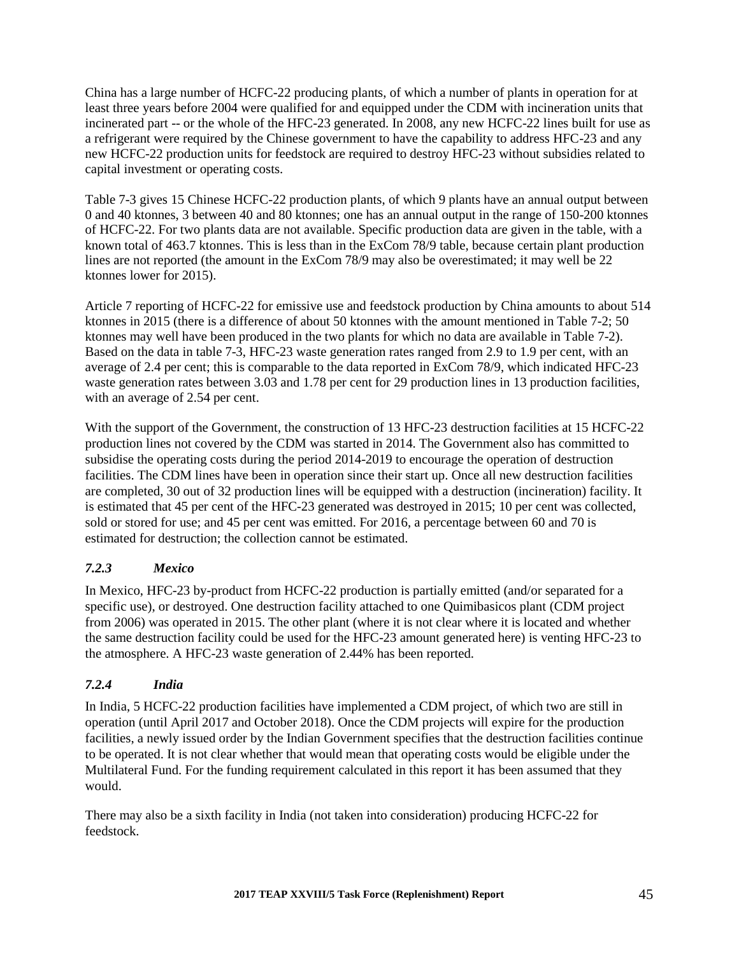China has a large number of HCFC-22 producing plants, of which a number of plants in operation for at least three years before 2004 were qualified for and equipped under the CDM with incineration units that incinerated part -- or the whole of the HFC-23 generated. In 2008, any new HCFC-22 lines built for use as a refrigerant were required by the Chinese government to have the capability to address HFC-23 and any new HCFC-22 production units for feedstock are required to destroy HFC-23 without subsidies related to capital investment or operating costs.

Table 7-3 gives 15 Chinese HCFC-22 production plants, of which 9 plants have an annual output between 0 and 40 ktonnes, 3 between 40 and 80 ktonnes; one has an annual output in the range of 150-200 ktonnes of HCFC-22. For two plants data are not available. Specific production data are given in the table, with a known total of 463.7 ktonnes. This is less than in the ExCom 78/9 table, because certain plant production lines are not reported (the amount in the ExCom 78/9 may also be overestimated; it may well be 22 ktonnes lower for 2015).

Article 7 reporting of HCFC-22 for emissive use and feedstock production by China amounts to about 514 ktonnes in 2015 (there is a difference of about 50 ktonnes with the amount mentioned in Table 7-2; 50 ktonnes may well have been produced in the two plants for which no data are available in Table 7-2). Based on the data in table 7-3, HFC-23 waste generation rates ranged from 2.9 to 1.9 per cent, with an average of 2.4 per cent; this is comparable to the data reported in ExCom 78/9, which indicated HFC-23 waste generation rates between 3.03 and 1.78 per cent for 29 production lines in 13 production facilities, with an average of 2.54 per cent.

With the support of the Government, the construction of 13 HFC-23 destruction facilities at 15 HCFC-22 production lines not covered by the CDM was started in 2014. The Government also has committed to subsidise the operating costs during the period 2014-2019 to encourage the operation of destruction facilities. The CDM lines have been in operation since their start up. Once all new destruction facilities are completed, 30 out of 32 production lines will be equipped with a destruction (incineration) facility. It is estimated that 45 per cent of the HFC-23 generated was destroyed in 2015; 10 per cent was collected, sold or stored for use; and 45 per cent was emitted. For 2016, a percentage between 60 and 70 is estimated for destruction; the collection cannot be estimated.

## *7.2.3 Mexico*

In Mexico, HFC-23 by-product from HCFC-22 production is partially emitted (and/or separated for a specific use), or destroyed. One destruction facility attached to one Quimibasicos plant (CDM project from 2006) was operated in 2015. The other plant (where it is not clear where it is located and whether the same destruction facility could be used for the HFC-23 amount generated here) is venting HFC-23 to the atmosphere. A HFC-23 waste generation of 2.44% has been reported.

## *7.2.4 India*

In India, 5 HCFC-22 production facilities have implemented a CDM project, of which two are still in operation (until April 2017 and October 2018). Once the CDM projects will expire for the production facilities, a newly issued order by the Indian Government specifies that the destruction facilities continue to be operated. It is not clear whether that would mean that operating costs would be eligible under the Multilateral Fund. For the funding requirement calculated in this report it has been assumed that they would.

There may also be a sixth facility in India (not taken into consideration) producing HCFC-22 for feedstock.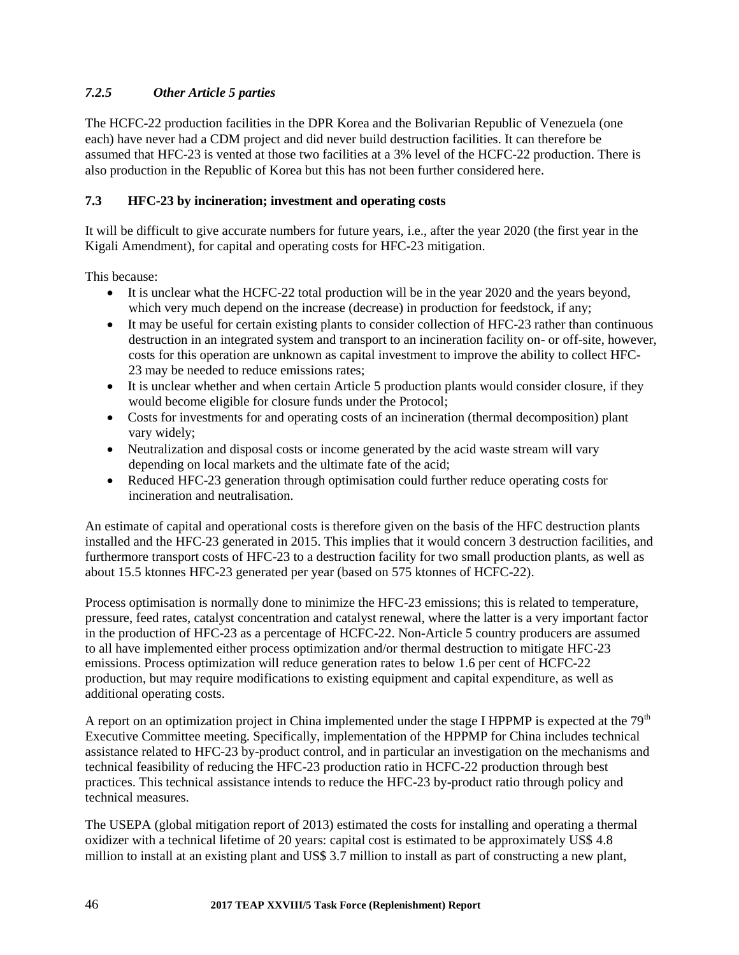## *7.2.5 Other Article 5 parties*

The HCFC-22 production facilities in the DPR Korea and the Bolivarian Republic of Venezuela (one each) have never had a CDM project and did never build destruction facilities. It can therefore be assumed that HFC-23 is vented at those two facilities at a 3% level of the HCFC-22 production. There is also production in the Republic of Korea but this has not been further considered here.

## **7.3 HFC-23 by incineration; investment and operating costs**

It will be difficult to give accurate numbers for future years, i.e., after the year 2020 (the first year in the Kigali Amendment), for capital and operating costs for HFC-23 mitigation.

This because:

- It is unclear what the HCFC-22 total production will be in the year 2020 and the years beyond, which very much depend on the increase (decrease) in production for feedstock, if any;
- It may be useful for certain existing plants to consider collection of HFC-23 rather than continuous destruction in an integrated system and transport to an incineration facility on- or off-site, however, costs for this operation are unknown as capital investment to improve the ability to collect HFC-23 may be needed to reduce emissions rates;
- It is unclear whether and when certain Article 5 production plants would consider closure, if they would become eligible for closure funds under the Protocol;
- Costs for investments for and operating costs of an incineration (thermal decomposition) plant vary widely;
- Neutralization and disposal costs or income generated by the acid waste stream will vary depending on local markets and the ultimate fate of the acid;
- Reduced HFC-23 generation through optimisation could further reduce operating costs for incineration and neutralisation.

An estimate of capital and operational costs is therefore given on the basis of the HFC destruction plants installed and the HFC-23 generated in 2015. This implies that it would concern 3 destruction facilities, and furthermore transport costs of HFC-23 to a destruction facility for two small production plants, as well as about 15.5 ktonnes HFC-23 generated per year (based on 575 ktonnes of HCFC-22).

Process optimisation is normally done to minimize the HFC-23 emissions; this is related to temperature, pressure, feed rates, catalyst concentration and catalyst renewal, where the latter is a very important factor in the production of HFC-23 as a percentage of HCFC-22. Non-Article 5 country producers are assumed to all have implemented either process optimization and/or thermal destruction to mitigate HFC-23 emissions. Process optimization will reduce generation rates to below 1.6 per cent of HCFC-22 production, but may require modifications to existing equipment and capital expenditure, as well as additional operating costs.

A report on an optimization project in China implemented under the stage I HPPMP is expected at the  $79<sup>th</sup>$ Executive Committee meeting. Specifically, implementation of the HPPMP for China includes technical assistance related to HFC-23 by-product control, and in particular an investigation on the mechanisms and technical feasibility of reducing the HFC-23 production ratio in HCFC-22 production through best practices. This technical assistance intends to reduce the HFC-23 by-product ratio through policy and technical measures.

The USEPA (global mitigation report of 2013) estimated the costs for installing and operating a thermal oxidizer with a technical lifetime of 20 years: capital cost is estimated to be approximately US\$ 4.8 million to install at an existing plant and US\$ 3.7 million to install as part of constructing a new plant,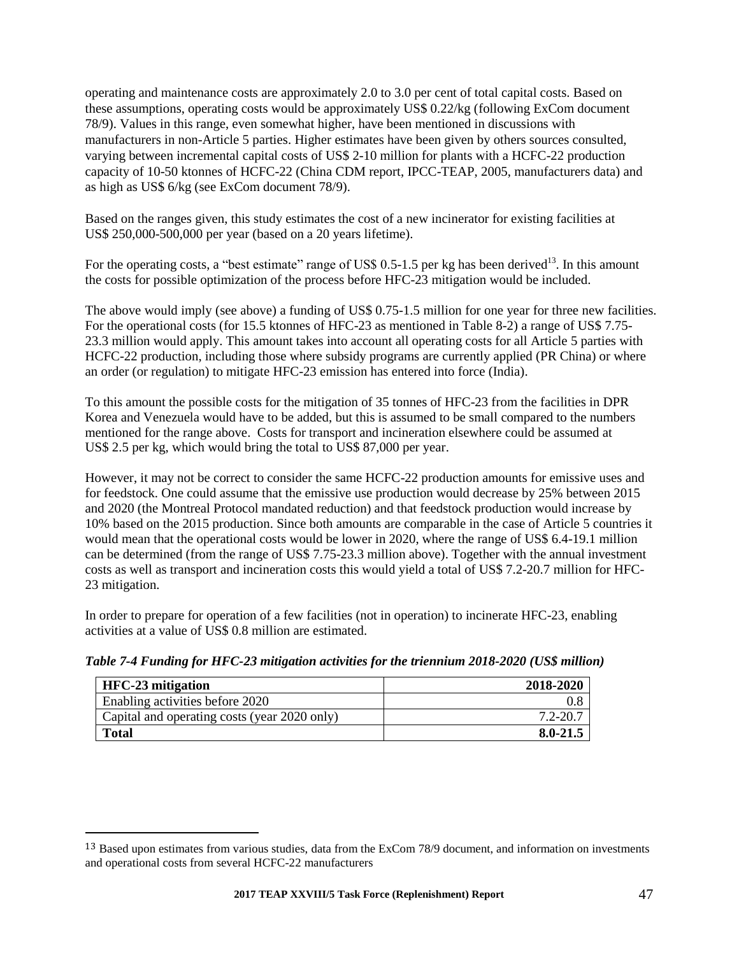operating and maintenance costs are approximately 2.0 to 3.0 per cent of total capital costs. Based on these assumptions, operating costs would be approximately US\$ 0.22/kg (following ExCom document 78/9). Values in this range, even somewhat higher, have been mentioned in discussions with manufacturers in non-Article 5 parties. Higher estimates have been given by others sources consulted, varying between incremental capital costs of US\$ 2-10 million for plants with a HCFC-22 production capacity of 10-50 ktonnes of HCFC-22 (China CDM report, IPCC-TEAP, 2005, manufacturers data) and as high as US\$ 6/kg (see ExCom document 78/9).

Based on the ranges given, this study estimates the cost of a new incinerator for existing facilities at US\$ 250,000-500,000 per year (based on a 20 years lifetime).

For the operating costs, a "best estimate" range of US\$ 0.5-1.5 per kg has been derived $^{13}$ . In this amount the costs for possible optimization of the process before HFC-23 mitigation would be included.

The above would imply (see above) a funding of US\$ 0.75-1.5 million for one year for three new facilities. For the operational costs (for 15.5 ktonnes of HFC-23 as mentioned in Table 8-2) a range of US\$ 7.75- 23.3 million would apply. This amount takes into account all operating costs for all Article 5 parties with HCFC-22 production, including those where subsidy programs are currently applied (PR China) or where an order (or regulation) to mitigate HFC-23 emission has entered into force (India).

To this amount the possible costs for the mitigation of 35 tonnes of HFC-23 from the facilities in DPR Korea and Venezuela would have to be added, but this is assumed to be small compared to the numbers mentioned for the range above. Costs for transport and incineration elsewhere could be assumed at US\$ 2.5 per kg, which would bring the total to US\$ 87,000 per year.

However, it may not be correct to consider the same HCFC-22 production amounts for emissive uses and for feedstock. One could assume that the emissive use production would decrease by 25% between 2015 and 2020 (the Montreal Protocol mandated reduction) and that feedstock production would increase by 10% based on the 2015 production. Since both amounts are comparable in the case of Article 5 countries it would mean that the operational costs would be lower in 2020, where the range of US\$ 6.4-19.1 million can be determined (from the range of US\$ 7.75-23.3 million above). Together with the annual investment costs as well as transport and incineration costs this would yield a total of US\$ 7.2-20.7 million for HFC-23 mitigation.

In order to prepare for operation of a few facilities (not in operation) to incinerate HFC-23, enabling activities at a value of US\$ 0.8 million are estimated.

*Table 7-4 Funding for HFC-23 mitigation activities for the triennium 2018-2020 (US\$ million)*

| <b>HFC-23</b> mitigation                     | 2018-2020    |
|----------------------------------------------|--------------|
| Enabling activities before 2020              |              |
| Capital and operating costs (year 2020 only) | 7.2-20.7     |
| <b>Total</b>                                 | $8.0 - 21.5$ |

 $\overline{\phantom{a}}$ 

<sup>13</sup> Based upon estimates from various studies, data from the ExCom 78/9 document, and information on investments and operational costs from several HCFC-22 manufacturers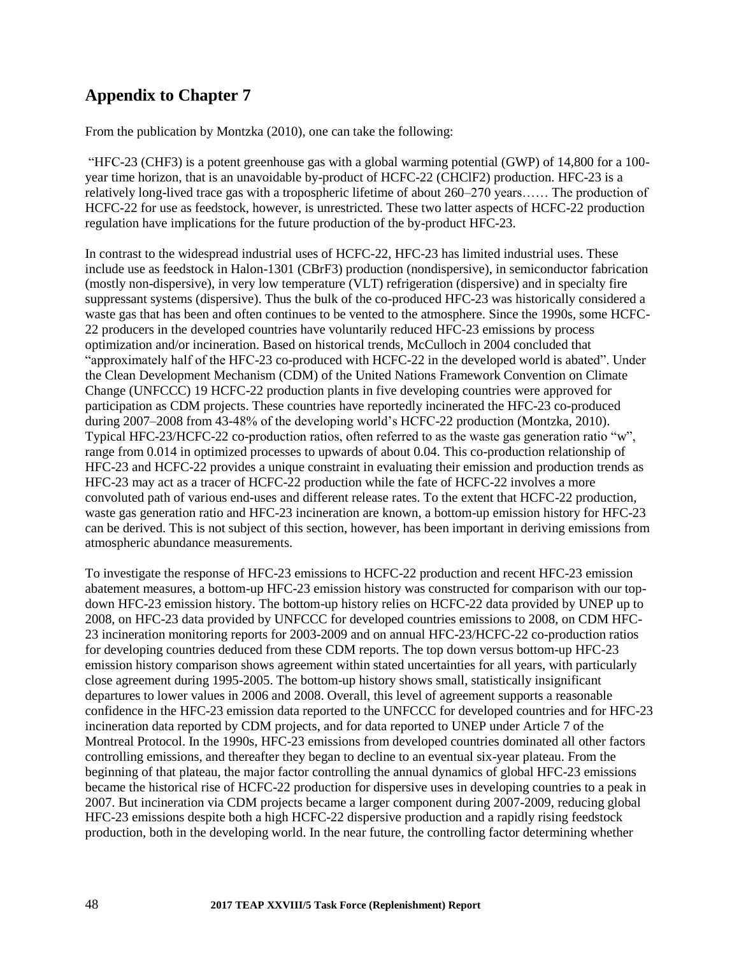## **Appendix to Chapter 7**

From the publication by Montzka (2010), one can take the following:

"HFC-23 (CHF3) is a potent greenhouse gas with a global warming potential (GWP) of 14,800 for a 100 year time horizon, that is an unavoidable by-product of HCFC-22 (CHClF2) production. HFC-23 is a relatively long-lived trace gas with a tropospheric lifetime of about 260–270 years…… The production of HCFC-22 for use as feedstock, however, is unrestricted. These two latter aspects of HCFC-22 production regulation have implications for the future production of the by-product HFC-23.

In contrast to the widespread industrial uses of HCFC-22, HFC-23 has limited industrial uses. These include use as feedstock in Halon-1301 (CBrF3) production (nondispersive), in semiconductor fabrication (mostly non-dispersive), in very low temperature (VLT) refrigeration (dispersive) and in specialty fire suppressant systems (dispersive). Thus the bulk of the co-produced HFC-23 was historically considered a waste gas that has been and often continues to be vented to the atmosphere. Since the 1990s, some HCFC-22 producers in the developed countries have voluntarily reduced HFC-23 emissions by process optimization and/or incineration. Based on historical trends, McCulloch in 2004 concluded that "approximately half of the HFC-23 co-produced with HCFC-22 in the developed world is abated". Under the Clean Development Mechanism (CDM) of the United Nations Framework Convention on Climate Change (UNFCCC) 19 HCFC-22 production plants in five developing countries were approved for participation as CDM projects. These countries have reportedly incinerated the HFC-23 co-produced during 2007–2008 from 43-48% of the developing world's HCFC-22 production (Montzka, 2010). Typical HFC-23/HCFC-22 co-production ratios, often referred to as the waste gas generation ratio "w", range from 0.014 in optimized processes to upwards of about 0.04. This co-production relationship of HFC-23 and HCFC-22 provides a unique constraint in evaluating their emission and production trends as HFC-23 may act as a tracer of HCFC-22 production while the fate of HCFC-22 involves a more convoluted path of various end-uses and different release rates. To the extent that HCFC-22 production, waste gas generation ratio and HFC-23 incineration are known, a bottom-up emission history for HFC-23 can be derived. This is not subject of this section, however, has been important in deriving emissions from atmospheric abundance measurements.

To investigate the response of HFC-23 emissions to HCFC-22 production and recent HFC-23 emission abatement measures, a bottom-up HFC-23 emission history was constructed for comparison with our topdown HFC-23 emission history. The bottom-up history relies on HCFC-22 data provided by UNEP up to 2008, on HFC-23 data provided by UNFCCC for developed countries emissions to 2008, on CDM HFC-23 incineration monitoring reports for 2003-2009 and on annual HFC-23/HCFC-22 co-production ratios for developing countries deduced from these CDM reports. The top down versus bottom-up HFC-23 emission history comparison shows agreement within stated uncertainties for all years, with particularly close agreement during 1995-2005. The bottom-up history shows small, statistically insignificant departures to lower values in 2006 and 2008. Overall, this level of agreement supports a reasonable confidence in the HFC-23 emission data reported to the UNFCCC for developed countries and for HFC-23 incineration data reported by CDM projects, and for data reported to UNEP under Article 7 of the Montreal Protocol. In the 1990s, HFC-23 emissions from developed countries dominated all other factors controlling emissions, and thereafter they began to decline to an eventual six-year plateau. From the beginning of that plateau, the major factor controlling the annual dynamics of global HFC-23 emissions became the historical rise of HCFC-22 production for dispersive uses in developing countries to a peak in 2007. But incineration via CDM projects became a larger component during 2007-2009, reducing global HFC-23 emissions despite both a high HCFC-22 dispersive production and a rapidly rising feedstock production, both in the developing world. In the near future, the controlling factor determining whether